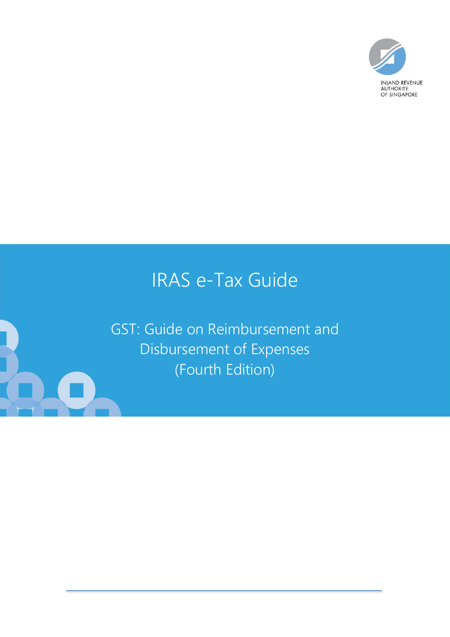

# IRAS e-Tax Guide

GST: Guide on Reimbursement and Disbursement of Expenses (Fourth Edition)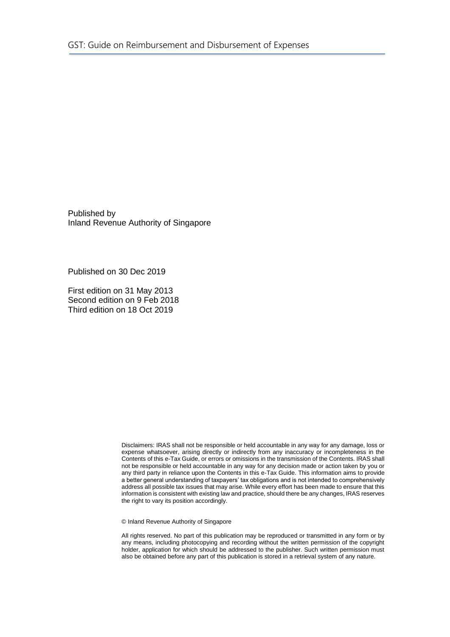Published by Inland Revenue Authority of Singapore

Published on 30 Dec 2019

First edition on 31 May 2013 Second edition on 9 Feb 2018 Third edition on 18 Oct 2019

> Disclaimers: IRAS shall not be responsible or held accountable in any way for any damage, loss or expense whatsoever, arising directly or indirectly from any inaccuracy or incompleteness in the Contents of this e-Tax Guide, or errors or omissions in the transmission of the Contents. IRAS shall not be responsible or held accountable in any way for any decision made or action taken by you or any third party in reliance upon the Contents in this e-Tax Guide. This information aims to provide a better general understanding of taxpayers' tax obligations and is not intended to comprehensively address all possible tax issues that may arise. While every effort has been made to ensure that this information is consistent with existing law and practice, should there be any changes, IRAS reserves the right to vary its position accordingly.

© Inland Revenue Authority of Singapore

All rights reserved. No part of this publication may be reproduced or transmitted in any form or by any means, including photocopying and recording without the written permission of the copyright holder, application for which should be addressed to the publisher. Such written permission must also be obtained before any part of this publication is stored in a retrieval system of any nature.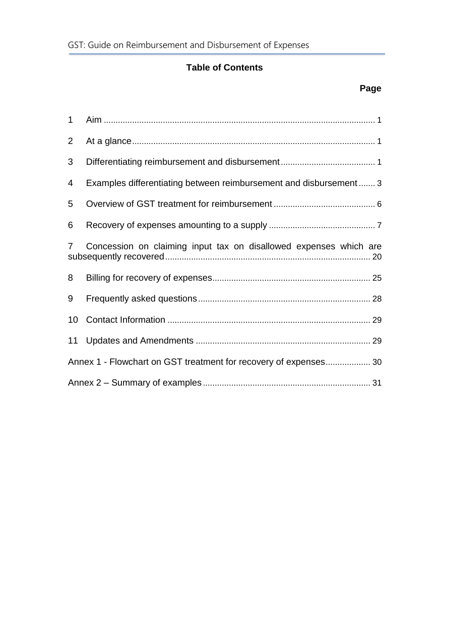### **Table of Contents**

## **Page**

| $\mathbf{1}$    |                                                                   |  |
|-----------------|-------------------------------------------------------------------|--|
| $\overline{2}$  |                                                                   |  |
| 3               |                                                                   |  |
| 4               | Examples differentiating between reimbursement and disbursement 3 |  |
| 5               |                                                                   |  |
| 6               |                                                                   |  |
| $\overline{7}$  | Concession on claiming input tax on disallowed expenses which are |  |
| 8               |                                                                   |  |
| 9               |                                                                   |  |
| 10 <sup>°</sup> |                                                                   |  |
| 11              |                                                                   |  |
|                 | Annex 1 - Flowchart on GST treatment for recovery of expenses 30  |  |
|                 |                                                                   |  |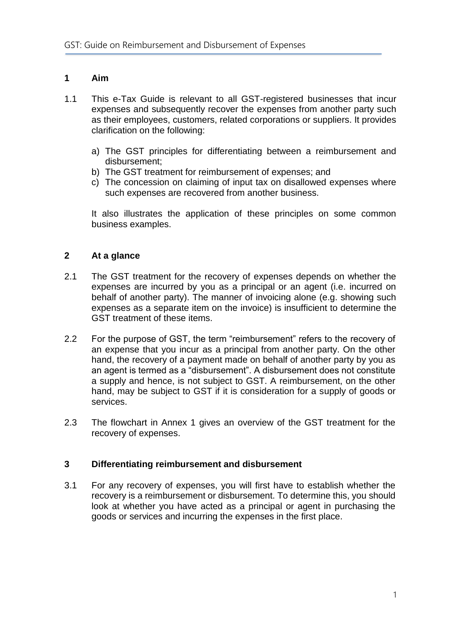#### <span id="page-3-0"></span>**1 Aim**

- 1.1 This e-Tax Guide is relevant to all GST-registered businesses that incur expenses and subsequently recover the expenses from another party such as their employees, customers, related corporations or suppliers. It provides clarification on the following:
	- a) The GST principles for differentiating between a reimbursement and disbursement;
	- b) The GST treatment for reimbursement of expenses; and
	- c) The concession on claiming of input tax on disallowed expenses where such expenses are recovered from another business.

It also illustrates the application of these principles on some common business examples.

#### <span id="page-3-1"></span>**2 At a glance**

- 2.1 The GST treatment for the recovery of expenses depends on whether the expenses are incurred by you as a principal or an agent (i.e. incurred on behalf of another party). The manner of invoicing alone (e.g. showing such expenses as a separate item on the invoice) is insufficient to determine the GST treatment of these items.
- 2.2 For the purpose of GST, the term "reimbursement" refers to the recovery of an expense that you incur as a principal from another party. On the other hand, the recovery of a payment made on behalf of another party by you as an agent is termed as a "disbursement". A disbursement does not constitute a supply and hence, is not subject to GST. A reimbursement, on the other hand, may be subject to GST if it is consideration for a supply of goods or services.
- 2.3 The flowchart in Annex 1 gives an overview of the GST treatment for the recovery of expenses.

#### <span id="page-3-2"></span>**3 Differentiating reimbursement and disbursement**

3.1 For any recovery of expenses, you will first have to establish whether the recovery is a reimbursement or disbursement. To determine this, you should look at whether you have acted as a principal or agent in purchasing the goods or services and incurring the expenses in the first place.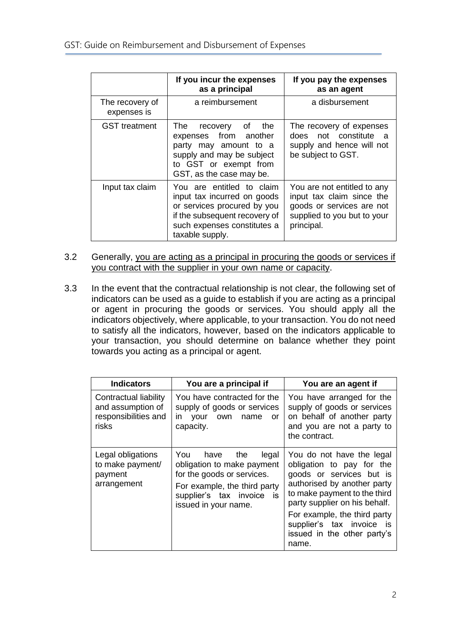|                                | If you incur the expenses<br>as a principal                                                                                                                                | If you pay the expenses<br>as an agent                                                                                             |
|--------------------------------|----------------------------------------------------------------------------------------------------------------------------------------------------------------------------|------------------------------------------------------------------------------------------------------------------------------------|
| The recovery of<br>expenses is | a reimbursement                                                                                                                                                            | a disbursement                                                                                                                     |
| <b>GST</b> treatment           | The recovery<br>the<br>0f<br>expenses from another<br>party may amount to a<br>supply and may be subject<br>to GST or exempt from<br>GST, as the case may be.              | The recovery of expenses<br>does not constitute<br>- a<br>supply and hence will not<br>be subject to GST.                          |
| Input tax claim                | You are entitled to claim<br>input tax incurred on goods<br>or services procured by you<br>if the subsequent recovery of<br>such expenses constitutes a<br>taxable supply. | You are not entitled to any<br>input tax claim since the<br>goods or services are not<br>supplied to you but to your<br>principal. |

- 3.2 Generally, you are acting as a principal in procuring the goods or services if you contract with the supplier in your own name or capacity.
- 3.3 In the event that the contractual relationship is not clear, the following set of indicators can be used as a guide to establish if you are acting as a principal or agent in procuring the goods or services. You should apply all the indicators objectively, where applicable, to your transaction. You do not need to satisfy all the indicators, however, based on the indicators applicable to your transaction, you should determine on balance whether they point towards you acting as a principal or agent.

| <b>Indicators</b>                                                           | You are a principal if                                                                                                                                                           | You are an agent if                                                                                                                                                                                                                                                                     |
|-----------------------------------------------------------------------------|----------------------------------------------------------------------------------------------------------------------------------------------------------------------------------|-----------------------------------------------------------------------------------------------------------------------------------------------------------------------------------------------------------------------------------------------------------------------------------------|
| Contractual liability<br>and assumption of<br>responsibilities and<br>risks | You have contracted for the<br>supply of goods or services<br>in<br>your<br>own<br>name<br>or<br>capacity.                                                                       | You have arranged for the<br>supply of goods or services<br>on behalf of another party<br>and you are not a party to<br>the contract.                                                                                                                                                   |
| Legal obligations<br>to make payment/<br>payment<br>arrangement             | You have the<br>legal<br>obligation to make payment<br>for the goods or services.<br>For example, the third party<br>supplier's tax invoice<br><b>is</b><br>issued in your name. | You do not have the legal<br>obligation to pay for the<br>goods or services but is<br>authorised by another party<br>to make payment to the third<br>party supplier on his behalf.<br>For example, the third party<br>supplier's tax invoice is<br>issued in the other party's<br>name. |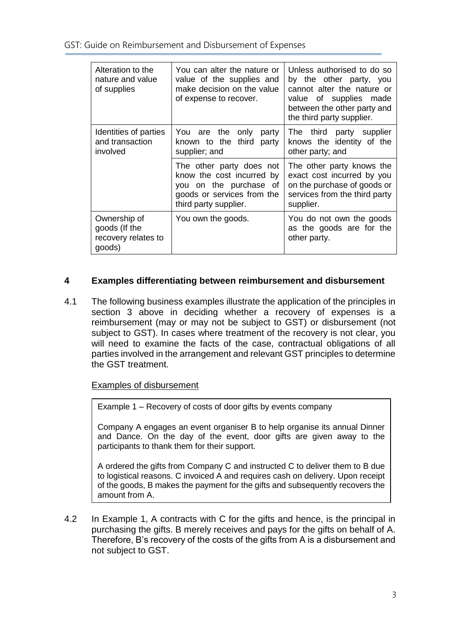GST: Guide on Reimbursement and Disbursement of Expenses

| Alteration to the<br>nature and value<br>of supplies           | You can alter the nature or<br>value of the supplies and<br>make decision on the value<br>of expense to recover.                       | Unless authorised to do so<br>by the other party, you<br>cannot alter the nature or<br>value of supplies made<br>between the other party and<br>the third party supplier. |
|----------------------------------------------------------------|----------------------------------------------------------------------------------------------------------------------------------------|---------------------------------------------------------------------------------------------------------------------------------------------------------------------------|
| Identities of parties<br>and transaction<br>involved           | You are the<br>only<br>party<br>known to the third<br>party<br>supplier; and                                                           | The third<br>party supplier<br>knows the identity of the<br>other party; and                                                                                              |
|                                                                | The other party does not<br>know the cost incurred by<br>you on the purchase of<br>goods or services from the<br>third party supplier. | The other party knows the<br>exact cost incurred by you<br>on the purchase of goods or<br>services from the third party<br>supplier.                                      |
| Ownership of<br>goods (If the<br>recovery relates to<br>goods) | You own the goods.                                                                                                                     | You do not own the goods<br>as the goods are for the<br>other party.                                                                                                      |

#### <span id="page-5-0"></span>**4 Examples differentiating between reimbursement and disbursement**

4.1 The following business examples illustrate the application of the principles in section 3 above in deciding whether a recovery of expenses is a reimbursement (may or may not be subject to GST) or disbursement (not subject to GST). In cases where treatment of the recovery is not clear, you will need to examine the facts of the case, contractual obligations of all parties involved in the arrangement and relevant GST principles to determine the GST treatment.

#### Examples of disbursement

Example 1 – Recovery of costs of door gifts by events company

Company A engages an event organiser B to help organise its annual Dinner and Dance. On the day of the event, door gifts are given away to the participants to thank them for their support.

A ordered the gifts from Company C and instructed C to deliver them to B due to logistical reasons. C invoiced A and requires cash on delivery. Upon receipt of the goods, B makes the payment for the gifts and subsequently recovers the amount from A.

4.2 In Example 1, A contracts with C for the gifts and hence, is the principal in purchasing the gifts. B merely receives and pays for the gifts on behalf of A. Therefore, B's recovery of the costs of the gifts from A is a disbursement and not subject to GST.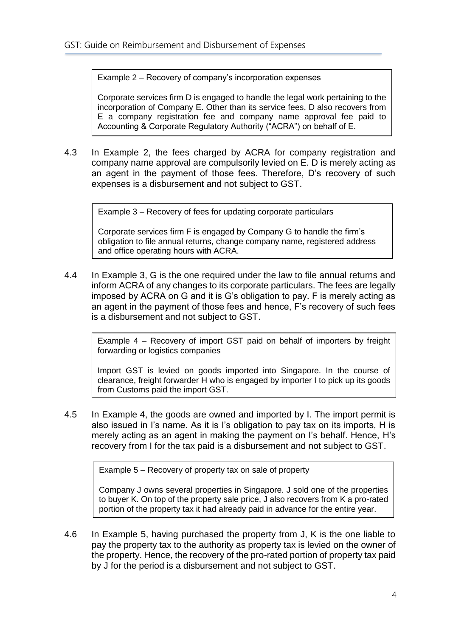Example 2 – Recovery of company's incorporation expenses

Corporate services firm D is engaged to handle the legal work pertaining to the incorporation of Company E. Other than its service fees, D also recovers from E a company registration fee and company name approval fee paid to Accounting & Corporate Regulatory Authority ("ACRA") on behalf of E.

4.3 In Example 2, the fees charged by ACRA for company registration and company name approval are compulsorily levied on E. D is merely acting as an agent in the payment of those fees. Therefore, D's recovery of such expenses is a disbursement and not subject to GST.

Example 3 – Recovery of fees for updating corporate particulars

Corporate services firm F is engaged by Company G to handle the firm's obligation to file annual returns, change company name, registered address and office operating hours with ACRA.

4.4 In Example 3, G is the one required under the law to file annual returns and inform ACRA of any changes to its corporate particulars. The fees are legally imposed by ACRA on G and it is G's obligation to pay. F is merely acting as an agent in the payment of those fees and hence, F's recovery of such fees is a disbursement and not subject to GST.

Example 4 – Recovery of import GST paid on behalf of importers by freight forwarding or logistics companies

Import GST is levied on goods imported into Singapore. In the course of clearance, freight forwarder H who is engaged by importer I to pick up its goods from Customs paid the import GST.

4.5 In Example 4, the goods are owned and imported by I. The import permit is also issued in I's name. As it is I's obligation to pay tax on its imports, H is merely acting as an agent in making the payment on I's behalf. Hence, H's recovery from I for the tax paid is a disbursement and not subject to GST.

Example 5 – Recovery of property tax on sale of property

Company J owns several properties in Singapore. J sold one of the properties to buyer K. On top of the property sale price, J also recovers from K a pro-rated portion of the property tax it had already paid in advance for the entire year.

4.6 In Example 5, having purchased the property from J, K is the one liable to pay the property tax to the authority as property tax is levied on the owner of the property. Hence, the recovery of the pro-rated portion of property tax paid by J for the period is a disbursement and not subject to GST.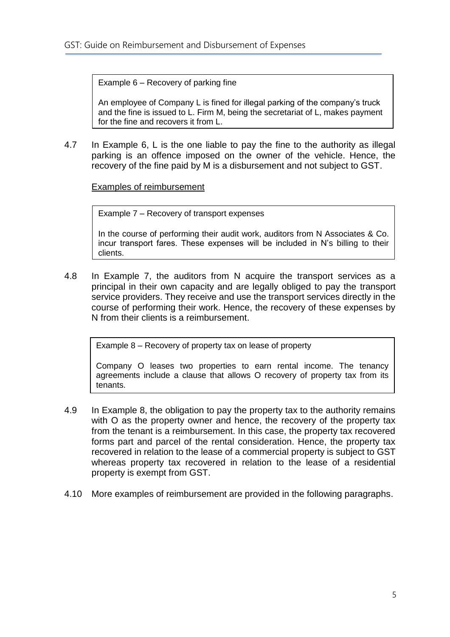Example 6 – Recovery of parking fine

An employee of Company L is fined for illegal parking of the company's truck and the fine is issued to L. Firm M, being the secretariat of L, makes payment for the fine and recovers it from L.

4.7 In Example 6, L is the one liable to pay the fine to the authority as illegal parking is an offence imposed on the owner of the vehicle. Hence, the recovery of the fine paid by M is a disbursement and not subject to GST.

Examples of reimbursement

Example 7 – Recovery of transport expenses

In the course of performing their audit work, auditors from N Associates & Co. incur transport fares. These expenses will be included in N's billing to their clients.

4.8 In Example 7, the auditors from N acquire the transport services as a principal in their own capacity and are legally obliged to pay the transport service providers. They receive and use the transport services directly in the course of performing their work. Hence, the recovery of these expenses by N from their clients is a reimbursement.

Example 8 – Recovery of property tax on lease of property

Company O leases two properties to earn rental income. The tenancy agreements include a clause that allows O recovery of property tax from its tenants.

- 4.9 In Example 8, the obligation to pay the property tax to the authority remains with O as the property owner and hence, the recovery of the property tax from the tenant is a reimbursement. In this case, the property tax recovered forms part and parcel of the rental consideration. Hence, the property tax recovered in relation to the lease of a commercial property is subject to GST whereas property tax recovered in relation to the lease of a residential property is exempt from GST.
- <span id="page-7-0"></span>4.10 More examples of reimbursement are provided in the following paragraphs.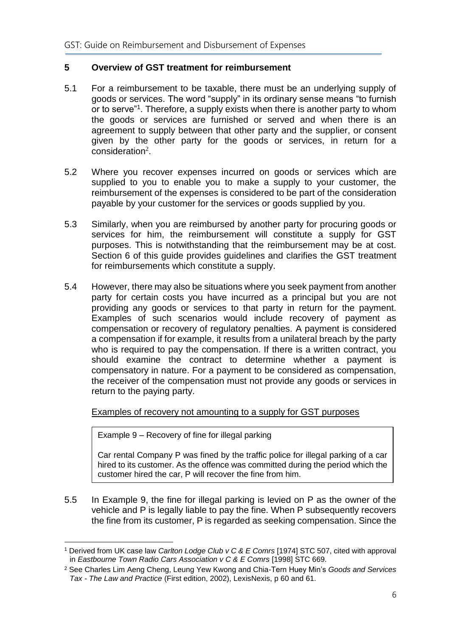#### **5 Overview of GST treatment for reimbursement**

- 5.1 For a reimbursement to be taxable, there must be an underlying supply of goods or services. The word "supply" in its ordinary sense means "to furnish or to serve"<sup>1</sup> . Therefore, a supply exists when there is another party to whom the goods or services are furnished or served and when there is an agreement to supply between that other party and the supplier, or consent given by the other party for the goods or services, in return for a consideration $2$ .
- 5.2 Where you recover expenses incurred on goods or services which are supplied to you to enable you to make a supply to your customer, the reimbursement of the expenses is considered to be part of the consideration payable by your customer for the services or goods supplied by you.
- 5.3 Similarly, when you are reimbursed by another party for procuring goods or services for him, the reimbursement will constitute a supply for GST purposes. This is notwithstanding that the reimbursement may be at cost. Section 6 of this guide provides guidelines and clarifies the GST treatment for reimbursements which constitute a supply.
- 5.4 However, there may also be situations where you seek payment from another party for certain costs you have incurred as a principal but you are not providing any goods or services to that party in return for the payment. Examples of such scenarios would include recovery of payment as compensation or recovery of regulatory penalties. A payment is considered a compensation if for example, it results from a unilateral breach by the party who is required to pay the compensation. If there is a written contract, you should examine the contract to determine whether a payment is compensatory in nature. For a payment to be considered as compensation, the receiver of the compensation must not provide any goods or services in return to the paying party.

Examples of recovery not amounting to a supply for GST purposes

Example 9 – Recovery of fine for illegal parking

Car rental Company P was fined by the traffic police for illegal parking of a car hired to its customer. As the offence was committed during the period which the customer hired the car, P will recover the fine from him.

5.5 In Example 9, the fine for illegal parking is levied on P as the owner of the vehicle and P is legally liable to pay the fine. When P subsequently recovers the fine from its customer, P is regarded as seeking compensation. Since the

<sup>1</sup> <sup>1</sup> Derived from UK case law *Carlton Lodge Club v C & E Comrs* [1974] STC 507, cited with approval in *Eastbourne Town Radio Cars Association v C & E Comrs* [1998] STC 669.

<sup>2</sup> See Charles Lim Aeng Cheng, Leung Yew Kwong and Chia-Tern Huey Min's *Goods and Services Tax - The Law and Practice* (First edition, 2002), LexisNexis, p 60 and 61.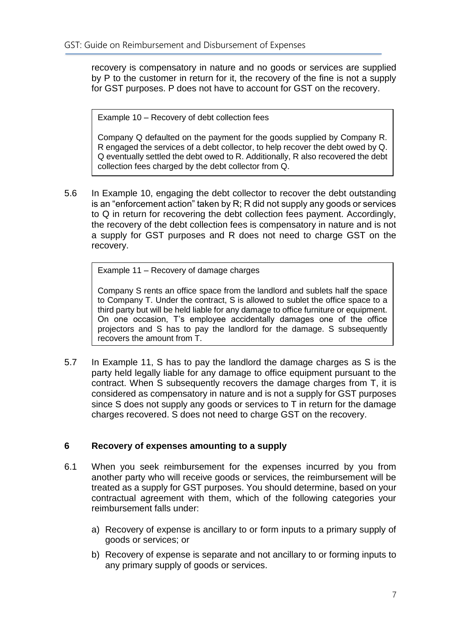recovery is compensatory in nature and no goods or services are supplied by P to the customer in return for it, the recovery of the fine is not a supply for GST purposes. P does not have to account for GST on the recovery.

Example 10 – Recovery of debt collection fees

Company Q defaulted on the payment for the goods supplied by Company R. R engaged the services of a debt collector, to help recover the debt owed by Q. Q eventually settled the debt owed to R. Additionally, R also recovered the debt collection fees charged by the debt collector from Q.

5.6 In Example 10, engaging the debt collector to recover the debt outstanding is an "enforcement action" taken by R; R did not supply any goods or services to Q in return for recovering the debt collection fees payment. Accordingly, the recovery of the debt collection fees is compensatory in nature and is not a supply for GST purposes and R does not need to charge GST on the recovery.

Example 11 – Recovery of damage charges

Company S rents an office space from the landlord and sublets half the space to Company T. Under the contract, S is allowed to sublet the office space to a third party but will be held liable for any damage to office furniture or equipment. On one occasion, T's employee accidentally damages one of the office projectors and S has to pay the landlord for the damage. S subsequently recovers the amount from T.

5.7 In Example 11, S has to pay the landlord the damage charges as S is the party held legally liable for any damage to office equipment pursuant to the contract. When S subsequently recovers the damage charges from T, it is considered as compensatory in nature and is not a supply for GST purposes since S does not supply any goods or services to T in return for the damage charges recovered. S does not need to charge GST on the recovery.

#### <span id="page-9-0"></span>**6 Recovery of expenses amounting to a supply**

- 6.1 When you seek reimbursement for the expenses incurred by you from another party who will receive goods or services, the reimbursement will be treated as a supply for GST purposes. You should determine, based on your contractual agreement with them, which of the following categories your reimbursement falls under:
	- a) Recovery of expense is ancillary to or form inputs to a primary supply of goods or services; or
	- b) Recovery of expense is separate and not ancillary to or forming inputs to any primary supply of goods or services.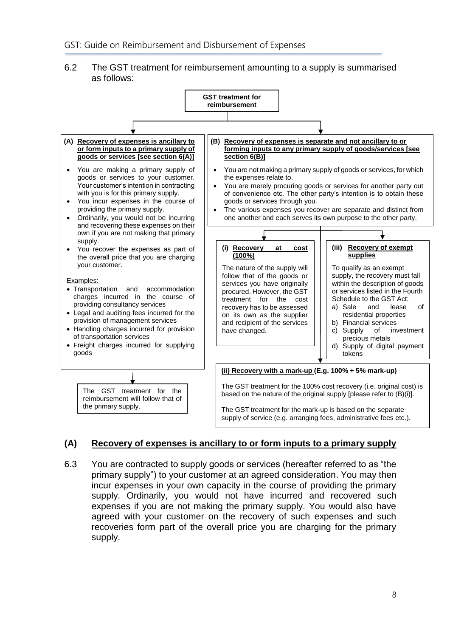#### 6.2 The GST treatment for reimbursement amounting to a supply is summarised as follows:



#### **(A) Recovery of expenses is ancillary to or form inputs to a primary supply**

6.3 You are contracted to supply goods or services (hereafter referred to as "the primary supply") to your customer at an agreed consideration. You may then incur expenses in your own capacity in the course of providing the primary supply. Ordinarily, you would not have incurred and recovered such expenses if you are not making the primary supply. You would also have agreed with your customer on the recovery of such expenses and such recoveries form part of the overall price you are charging for the primary supply.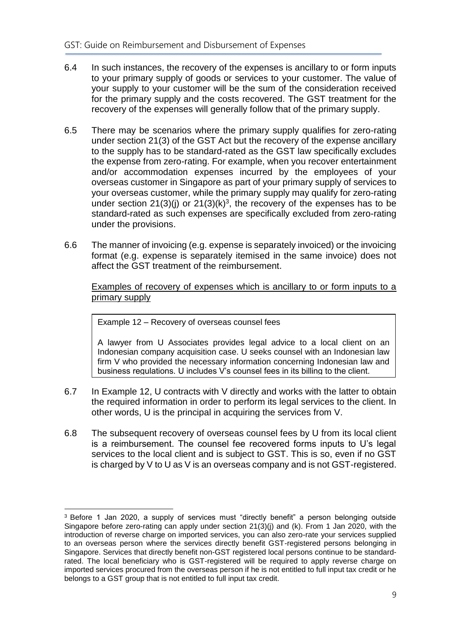- 6.4 In such instances, the recovery of the expenses is ancillary to or form inputs to your primary supply of goods or services to your customer. The value of your supply to your customer will be the sum of the consideration received for the primary supply and the costs recovered. The GST treatment for the recovery of the expenses will generally follow that of the primary supply.
- 6.5 There may be scenarios where the primary supply qualifies for zero-rating under section 21(3) of the GST Act but the recovery of the expense ancillary to the supply has to be standard-rated as the GST law specifically excludes the expense from zero-rating. For example, when you recover entertainment and/or accommodation expenses incurred by the employees of your overseas customer in Singapore as part of your primary supply of services to your overseas customer, while the primary supply may qualify for zero-rating under section 21(3)(j) or 21(3)(k)<sup>3</sup>, the recovery of the expenses has to be standard-rated as such expenses are specifically excluded from zero-rating under the provisions.
- 6.6 The manner of invoicing (e.g. expense is separately invoiced) or the invoicing format (e.g. expense is separately itemised in the same invoice) does not affect the GST treatment of the reimbursement.

Examples of recovery of expenses which is ancillary to or form inputs to a primary supply

Example 12 – Recovery of overseas counsel fees

<u>.</u>

A lawyer from U Associates provides legal advice to a local client on an Indonesian company acquisition case. U seeks counsel with an Indonesian law firm V who provided the necessary information concerning Indonesian law and business regulations. U includes V's counsel fees in its billing to the client.

- 6.7 In Example 12, U contracts with V directly and works with the latter to obtain the required information in order to perform its legal services to the client. In other words, U is the principal in acquiring the services from V.
- 6.8 The subsequent recovery of overseas counsel fees by U from its local client is a reimbursement. The counsel fee recovered forms inputs to U's legal services to the local client and is subject to GST. This is so, even if no GST is charged by V to U as V is an overseas company and is not GST-registered.

<sup>3</sup> Before 1 Jan 2020, a supply of services must "directly benefit" a person belonging outside Singapore before zero-rating can apply under section 21(3)(j) and (k). From 1 Jan 2020, with the introduction of reverse charge on imported services, you can also zero-rate your services supplied to an overseas person where the services directly benefit GST-registered persons belonging in Singapore. Services that directly benefit non-GST registered local persons continue to be standardrated. The local beneficiary who is GST-registered will be required to apply reverse charge on imported services procured from the overseas person if he is not entitled to full input tax credit or he belongs to a GST group that is not entitled to full input tax credit.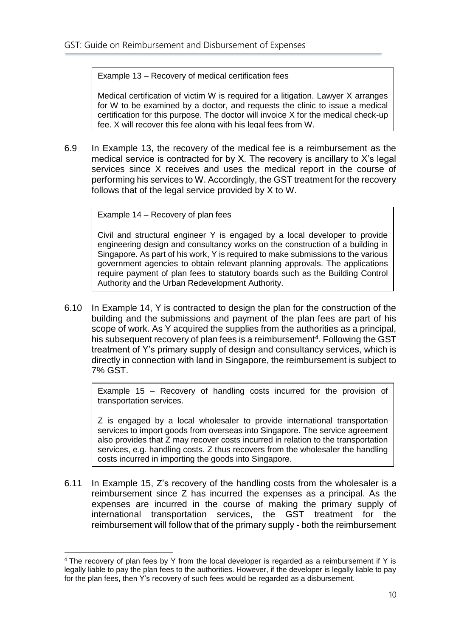Example 13 – Recovery of medical certification fees

Medical certification of victim W is required for a litigation. Lawyer X arranges for W to be examined by a doctor, and requests the clinic to issue a medical certification for this purpose. The doctor will invoice X for the medical check-up fee. X will recover this fee along with his legal fees from W.

6.9 In Example 13, the recovery of the medical fee is a reimbursement as the medical service is contracted for by X. The recovery is ancillary to X's legal services since X receives and uses the medical report in the course of performing his services to W. Accordingly, the GST treatment for the recovery follows that of the legal service provided by X to W.

Example 14 – Recovery of plan fees

Civil and structural engineer Y is engaged by a local developer to provide engineering design and consultancy works on the construction of a building in Singapore. As part of his work, Y is required to make submissions to the various government agencies to obtain relevant planning approvals. The applications require payment of plan fees to statutory boards such as the Building Control Authority and the Urban Redevelopment Authority.

6.10 In Example 14, Y is contracted to design the plan for the construction of the building and the submissions and payment of the plan fees are part of his scope of work. As Y acquired the supplies from the authorities as a principal, his subsequent recovery of plan fees is a reimbursement<sup>4</sup>. Following the GST treatment of Y's primary supply of design and consultancy services, which is directly in connection with land in Singapore, the reimbursement is subject to 7% GST.

Example 15 – Recovery of handling costs incurred for the provision of transportation services.

Z is engaged by a local wholesaler to provide international transportation services to import goods from overseas into Singapore. The service agreement also provides that Z may recover costs incurred in relation to the transportation services, e.g. handling costs. Z thus recovers from the wholesaler the handling costs incurred in importing the goods into Singapore.

6.11 In Example 15, Z's recovery of the handling costs from the wholesaler is a reimbursement since Z has incurred the expenses as a principal. As the expenses are incurred in the course of making the primary supply of international transportation services, the GST treatment for the reimbursement will follow that of the primary supply - both the reimbursement

<sup>1</sup> <sup>4</sup> The recovery of plan fees by Y from the local developer is regarded as a reimbursement if Y is legally liable to pay the plan fees to the authorities. However, if the developer is legally liable to pay for the plan fees, then Y's recovery of such fees would be regarded as a disbursement.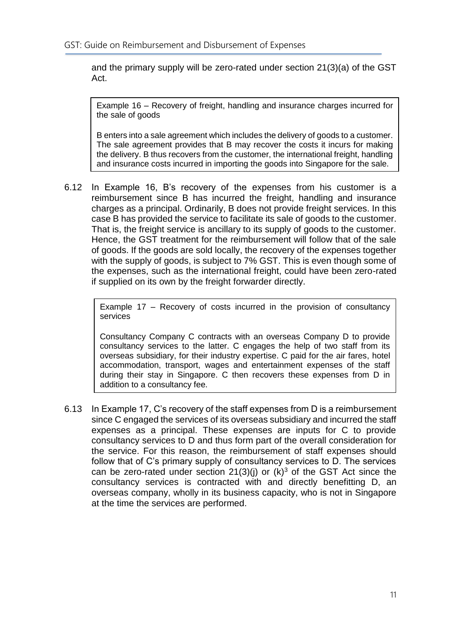and the primary supply will be zero-rated under section 21(3)(a) of the GST Act.

Example 16 – Recovery of freight, handling and insurance charges incurred for the sale of goods

B enters into a sale agreement which includes the delivery of goods to a customer. The sale agreement provides that B may recover the costs it incurs for making the delivery. B thus recovers from the customer, the international freight, handling and insurance costs incurred in importing the goods into Singapore for the sale.

6.12 In Example 16, B's recovery of the expenses from his customer is a reimbursement since B has incurred the freight, handling and insurance charges as a principal. Ordinarily, B does not provide freight services. In this case B has provided the service to facilitate its sale of goods to the customer. That is, the freight service is ancillary to its supply of goods to the customer. Hence, the GST treatment for the reimbursement will follow that of the sale of goods. If the goods are sold locally, the recovery of the expenses together with the supply of goods, is subject to 7% GST. This is even though some of the expenses, such as the international freight, could have been zero-rated if supplied on its own by the freight forwarder directly.

> Example 17 – Recovery of costs incurred in the provision of consultancy services

> Consultancy Company C contracts with an overseas Company D to provide consultancy services to the latter. C engages the help of two staff from its overseas subsidiary, for their industry expertise. C paid for the air fares, hotel accommodation, transport, wages and entertainment expenses of the staff during their stay in Singapore. C then recovers these expenses from D in addition to a consultancy fee.

6.13 In Example 17, C's recovery of the staff expenses from D is a reimbursement since C engaged the services of its overseas subsidiary and incurred the staff expenses as a principal. These expenses are inputs for C to provide consultancy services to D and thus form part of the overall consideration for the service. For this reason, the reimbursement of staff expenses should follow that of C's primary supply of consultancy services to D. The services can be zero-rated under section  $21(3)(j)$  or  $(k)<sup>3</sup>$  of the GST Act since the consultancy services is contracted with and directly benefitting D, an overseas company, wholly in its business capacity, who is not in Singapore at the time the services are performed.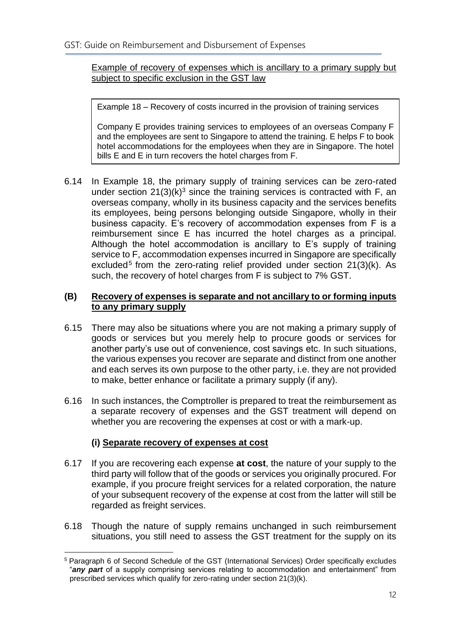Example of recovery of expenses which is ancillary to a primary supply but subject to specific exclusion in the GST law

Example 18 – Recovery of costs incurred in the provision of training services

Company E provides training services to employees of an overseas Company F and the employees are sent to Singapore to attend the training. E helps F to book hotel accommodations for the employees when they are in Singapore. The hotel bills E and E in turn recovers the hotel charges from F.

6.14 In Example 18, the primary supply of training services can be zero-rated under section  $21(3)(k)^3$  since the training services is contracted with F, an overseas company, wholly in its business capacity and the services benefits its employees, being persons belonging outside Singapore, wholly in their business capacity. E's recovery of accommodation expenses from F is a reimbursement since E has incurred the hotel charges as a principal. Although the hotel accommodation is ancillary to E's supply of training service to F, accommodation expenses incurred in Singapore are specifically excluded<sup>5</sup> from the zero-rating relief provided under section 21(3)(k). As such, the recovery of hotel charges from F is subject to 7% GST.

#### **(B) Recovery of expenses is separate and not ancillary to or forming inputs to any primary supply**

- 6.15 There may also be situations where you are not making a primary supply of goods or services but you merely help to procure goods or services for another party's use out of convenience, cost savings etc. In such situations, the various expenses you recover are separate and distinct from one another and each serves its own purpose to the other party, i.e. they are not provided to make, better enhance or facilitate a primary supply (if any).
- 6.16 In such instances, the Comptroller is prepared to treat the reimbursement as a separate recovery of expenses and the GST treatment will depend on whether you are recovering the expenses at cost or with a mark-up.

#### **(i) Separate recovery of expenses at cost**

- 6.17 If you are recovering each expense **at cost**, the nature of your supply to the third party will follow that of the goods or services you originally procured. For example, if you procure freight services for a related corporation, the nature of your subsequent recovery of the expense at cost from the latter will still be regarded as freight services.
- 6.18 Though the nature of supply remains unchanged in such reimbursement situations, you still need to assess the GST treatment for the supply on its

<sup>1</sup> <sup>5</sup> Paragraph 6 of Second Schedule of the GST (International Services) Order specifically excludes "*any part* of a supply comprising services relating to accommodation and entertainment" from prescribed services which qualify for zero-rating under section 21(3)(k).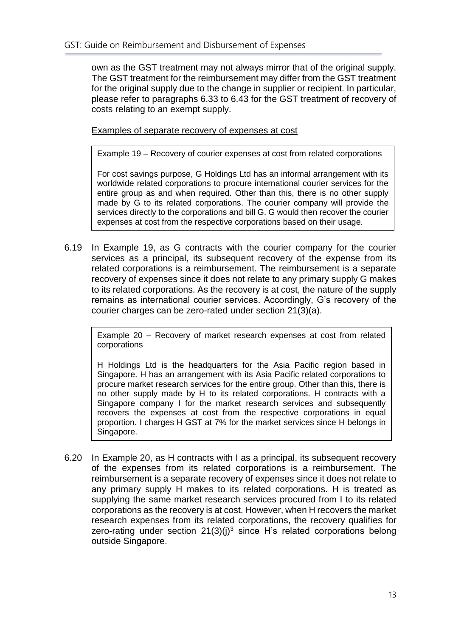own as the GST treatment may not always mirror that of the original supply. The GST treatment for the reimbursement may differ from the GST treatment for the original supply due to the change in supplier or recipient. In particular, please refer to paragraphs 6.33 to 6.43 for the GST treatment of recovery of costs relating to an exempt supply.

Examples of separate recovery of expenses at cost

Example 19 – Recovery of courier expenses at cost from related corporations

For cost savings purpose, G Holdings Ltd has an informal arrangement with its worldwide related corporations to procure international courier services for the entire group as and when required. Other than this, there is no other supply made by G to its related corporations. The courier company will provide the services directly to the corporations and bill G. G would then recover the courier expenses at cost from the respective corporations based on their usage.

6.19 In Example 19, as G contracts with the courier company for the courier services as a principal, its subsequent recovery of the expense from its related corporations is a reimbursement. The reimbursement is a separate recovery of expenses since it does not relate to any primary supply G makes to its related corporations. As the recovery is at cost, the nature of the supply remains as international courier services. Accordingly, G's recovery of the courier charges can be zero-rated under section 21(3)(a).

Example 20 – Recovery of market research expenses at cost from related corporations

H Holdings Ltd is the headquarters for the Asia Pacific region based in Singapore. H has an arrangement with its Asia Pacific related corporations to procure market research services for the entire group. Other than this, there is no other supply made by H to its related corporations. H contracts with a Singapore company I for the market research services and subsequently recovers the expenses at cost from the respective corporations in equal proportion. I charges H GST at 7% for the market services since H belongs in Singapore.

6.20 In Example 20, as H contracts with I as a principal, its subsequent recovery of the expenses from its related corporations is a reimbursement. The reimbursement is a separate recovery of expenses since it does not relate to any primary supply H makes to its related corporations. H is treated as supplying the same market research services procured from I to its related corporations as the recovery is at cost. However, when H recovers the market research expenses from its related corporations, the recovery qualifies for zero-rating under section  $21(3)(i)^3$  since H's related corporations belong outside Singapore.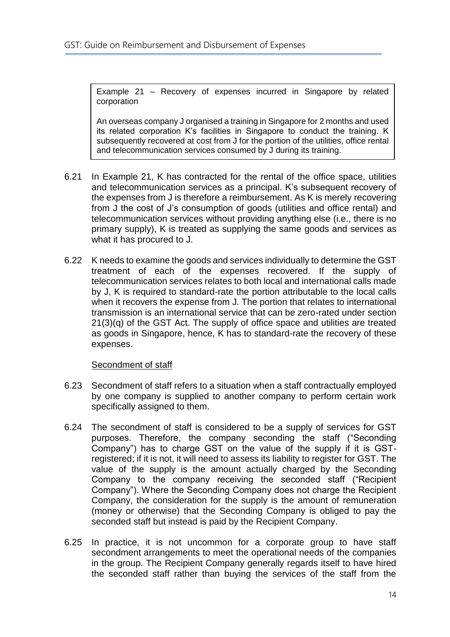Example 21 – Recovery of expenses incurred in Singapore by related corporation

An overseas company J organised a training in Singapore for 2 months and used its related corporation K's facilities in Singapore to conduct the training. K subsequently recovered at cost from J for the portion of the utilities, office rental and telecommunication services consumed by J during its training.

- 6.21 In Example 21, K has contracted for the rental of the office space, utilities and telecommunication services as a principal. K's subsequent recovery of the expenses from J is therefore a reimbursement. As K is merely recovering from J the cost of J's consumption of goods (utilities and office rental) and telecommunication services without providing anything else (i.e., there is no primary supply), K is treated as supplying the same goods and services as what it has procured to J.
- 6.22 K needs to examine the goods and services individually to determine the GST treatment of each of the expenses recovered. If the supply of telecommunication services relates to both local and international calls made by J, K is required to standard-rate the portion attributable to the local calls when it recovers the expense from J. The portion that relates to international transmission is an international service that can be zero-rated under section 21(3)(q) of the GST Act. The supply of office space and utilities are treated as goods in Singapore, hence, K has to standard-rate the recovery of these expenses.

#### Secondment of staff

- 6.23 Secondment of staff refers to a situation when a staff contractually employed by one company is supplied to another company to perform certain work specifically assigned to them.
- 6.24 The secondment of staff is considered to be a supply of services for GST purposes. Therefore, the company seconding the staff ("Seconding Company") has to charge GST on the value of the supply if it is GSTregistered; if it is not, it will need to assess its liability to register for GST. The value of the supply is the amount actually charged by the Seconding Company to the company receiving the seconded staff ("Recipient Company"). Where the Seconding Company does not charge the Recipient Company, the consideration for the supply is the amount of remuneration (money or otherwise) that the Seconding Company is obliged to pay the seconded staff but instead is paid by the Recipient Company.
- 6.25 In practice, it is not uncommon for a corporate group to have staff secondment arrangements to meet the operational needs of the companies in the group. The Recipient Company generally regards itself to have hired the seconded staff rather than buying the services of the staff from the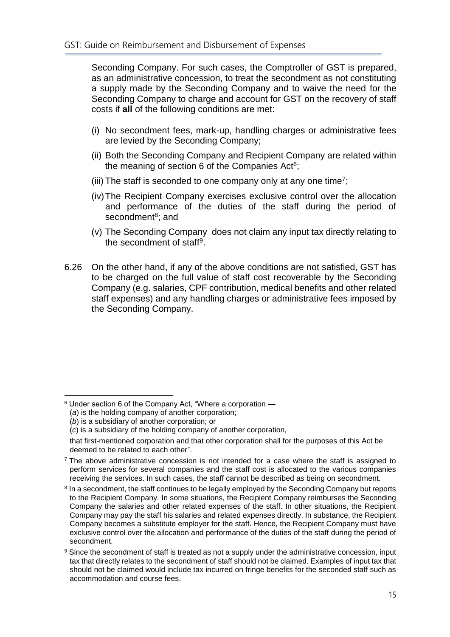Seconding Company. For such cases, the Comptroller of GST is prepared, as an administrative concession, to treat the secondment as not constituting a supply made by the Seconding Company and to waive the need for the Seconding Company to charge and account for GST on the recovery of staff costs if **all** of the following conditions are met:

- (i) No secondment fees, mark-up, handling charges or administrative fees are levied by the Seconding Company;
- (ii) Both the Seconding Company and Recipient Company are related within the meaning of section 6 of the Companies Act<sup>6</sup>;
- (iii) The staff is seconded to one company only at any one time<sup>7</sup>;
- (iv)The Recipient Company exercises exclusive control over the allocation and performance of the duties of the staff during the period of secondment<sup>8</sup>; and
- (v) The Seconding Company does not claim any input tax directly relating to the secondment of staff<sup>9</sup>.
- 6.26 On the other hand, if any of the above conditions are not satisfied, GST has to be charged on the full value of staff cost recoverable by the Seconding Company (e.g. salaries, CPF contribution, medical benefits and other related staff expenses) and any handling charges or administrative fees imposed by the Seconding Company.

<sup>&</sup>lt;u>.</u> <sup>6</sup> Under section 6 of the Company Act, "Where a corporation —

<sup>(</sup>*a*) is the holding company of another corporation;

<sup>(</sup>*b*) is a subsidiary of another corporation; or

<sup>(</sup>*c*) is a subsidiary of the holding company of another corporation,

that first-mentioned corporation and that other corporation shall for the purposes of this Act be deemed to be related to each other".

 $7$  The above administrative concession is not intended for a case where the staff is assigned to perform services for several companies and the staff cost is allocated to the various companies receiving the services. In such cases, the staff cannot be described as being on secondment.

<sup>&</sup>lt;sup>8</sup> In a secondment, the staff continues to be legally employed by the Seconding Company but reports to the Recipient Company. In some situations, the Recipient Company reimburses the Seconding Company the salaries and other related expenses of the staff. In other situations, the Recipient Company may pay the staff his salaries and related expenses directly. In substance, the Recipient Company becomes a substitute employer for the staff. Hence, the Recipient Company must have exclusive control over the allocation and performance of the duties of the staff during the period of secondment.

<sup>9</sup> Since the secondment of staff is treated as not a supply under the administrative concession, input tax that directly relates to the secondment of staff should not be claimed. Examples of input tax that should not be claimed would include tax incurred on fringe benefits for the seconded staff such as accommodation and course fees.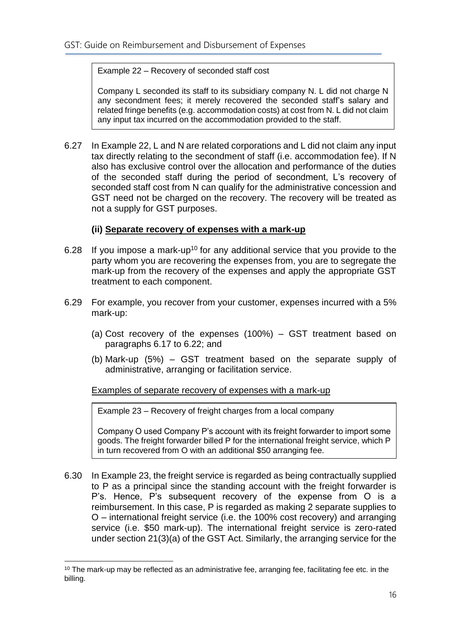#### Example 22 – Recovery of seconded staff cost

Company L seconded its staff to its subsidiary company N. L did not charge N any secondment fees; it merely recovered the seconded staff's salary and related fringe benefits (e.g. accommodation costs) at cost from N. L did not claim any input tax incurred on the accommodation provided to the staff.

6.27 In Example 22, L and N are related corporations and L did not claim any input tax directly relating to the secondment of staff (i.e. accommodation fee). If N also has exclusive control over the allocation and performance of the duties of the seconded staff during the period of secondment, L's recovery of seconded staff cost from N can qualify for the administrative concession and GST need not be charged on the recovery. The recovery will be treated as not a supply for GST purposes.

#### **(ii) Separate recovery of expenses with a mark-up**

- 6.28 If you impose a mark-up<sup>10</sup> for any additional service that you provide to the party whom you are recovering the expenses from, you are to segregate the mark-up from the recovery of the expenses and apply the appropriate GST treatment to each component.
- 6.29 For example, you recover from your customer, expenses incurred with a 5% mark-up:
	- (a) Cost recovery of the expenses (100%) GST treatment based on paragraphs 6.17 to 6.22; and
	- (b) Mark-up (5%) GST treatment based on the separate supply of administrative, arranging or facilitation service.

#### Examples of separate recovery of expenses with a mark-up

Example 23 – Recovery of freight charges from a local company

Company O used Company P's account with its freight forwarder to import some goods. The freight forwarder billed P for the international freight service, which P in turn recovered from O with an additional \$50 arranging fee.

6.30 In Example 23, the freight service is regarded as being contractually supplied to P as a principal since the standing account with the freight forwarder is P's. Hence, P's subsequent recovery of the expense from O is a reimbursement. In this case, P is regarded as making 2 separate supplies to O – international freight service (i.e. the 100% cost recovery) and arranging service (i.e. \$50 mark-up). The international freight service is zero-rated under section 21(3)(a) of the GST Act. Similarly, the arranging service for the

1

 $10$  The mark-up may be reflected as an administrative fee, arranging fee, facilitating fee etc. in the billing.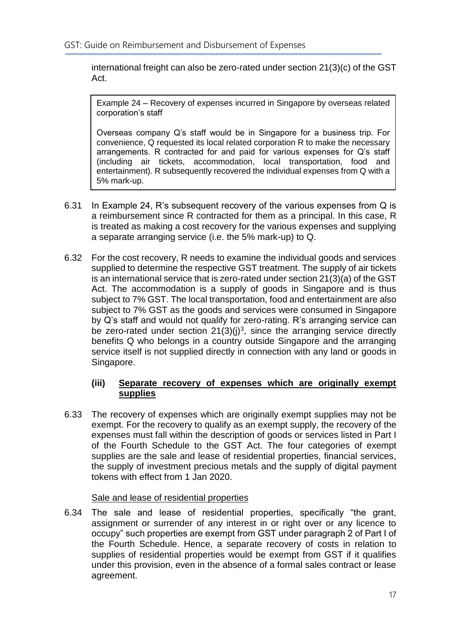international freight can also be zero-rated under section 21(3)(c) of the GST Act.

Example 24 – Recovery of expenses incurred in Singapore by overseas related corporation's staff

Overseas company Q's staff would be in Singapore for a business trip. For convenience, Q requested its local related corporation R to make the necessary arrangements. R contracted for and paid for various expenses for Q's staff (including air tickets, accommodation, local transportation, food and entertainment). R subsequently recovered the individual expenses from Q with a 5% mark-up.

- 6.31 In Example 24, R's subsequent recovery of the various expenses from Q is a reimbursement since R contracted for them as a principal. In this case, R is treated as making a cost recovery for the various expenses and supplying a separate arranging service (i.e. the 5% mark-up) to Q.
- 6.32 For the cost recovery, R needs to examine the individual goods and services supplied to determine the respective GST treatment. The supply of air tickets is an international service that is zero-rated under section 21(3)(a) of the GST Act. The accommodation is a supply of goods in Singapore and is thus subject to 7% GST. The local transportation, food and entertainment are also subject to 7% GST as the goods and services were consumed in Singapore by Q's staff and would not qualify for zero-rating. R's arranging service can be zero-rated under section  $21(3)(j)^3$ , since the arranging service directly benefits Q who belongs in a country outside Singapore and the arranging service itself is not supplied directly in connection with any land or goods in Singapore.

#### **(iii) Separate recovery of expenses which are originally exempt supplies**

6.33 The recovery of expenses which are originally exempt supplies may not be exempt. For the recovery to qualify as an exempt supply, the recovery of the expenses must fall within the description of goods or services listed in Part I of the Fourth Schedule to the GST Act. The four categories of exempt supplies are the sale and lease of residential properties, financial services, the supply of investment precious metals and the supply of digital payment tokens with effect from 1 Jan 2020.

#### Sale and lease of residential properties

6.34 The sale and lease of residential properties, specifically "the grant, assignment or surrender of any interest in or right over or any licence to occupy" such properties are exempt from GST under paragraph 2 of Part I of the Fourth Schedule. Hence, a separate recovery of costs in relation to supplies of residential properties would be exempt from GST if it qualifies under this provision, even in the absence of a formal sales contract or lease agreement.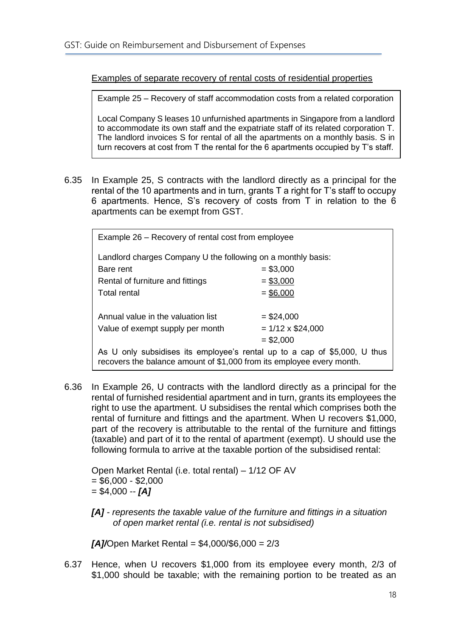Examples of separate recovery of rental costs of residential properties

Example 25 – Recovery of staff accommodation costs from a related corporation

Local Company S leases 10 unfurnished apartments in Singapore from a landlord to accommodate its own staff and the expatriate staff of its related corporation T. The landlord invoices S for rental of all the apartments on a monthly basis. S in turn recovers at cost from T the rental for the 6 apartments occupied by T's staff.

6.35 In Example 25, S contracts with the landlord directly as a principal for the rental of the 10 apartments and in turn, grants T a right for T's staff to occupy 6 apartments. Hence, S's recovery of costs from T in relation to the 6 apartments can be exempt from GST.

| Example 26 - Recovery of rental cost from employee                                                                                                 |                         |  |  |
|----------------------------------------------------------------------------------------------------------------------------------------------------|-------------------------|--|--|
| Landlord charges Company U the following on a monthly basis:                                                                                       |                         |  |  |
| Bare rent                                                                                                                                          | $= $3,000$              |  |  |
| Rental of furniture and fittings                                                                                                                   | $= $3,000$              |  |  |
| Total rental                                                                                                                                       | $=$ \$6,000             |  |  |
|                                                                                                                                                    |                         |  |  |
| Annual value in the valuation list                                                                                                                 | $=$ \$24,000            |  |  |
| Value of exempt supply per month                                                                                                                   | $= 1/12 \times $24,000$ |  |  |
|                                                                                                                                                    | $= $2,000$              |  |  |
| As U only subsidises its employee's rental up to a cap of \$5,000, U thus<br>recovers the balance amount of \$1,000 from its employee every month. |                         |  |  |

6.36 In Example 26, U contracts with the landlord directly as a principal for the rental of furnished residential apartment and in turn, grants its employees the right to use the apartment. U subsidises the rental which comprises both the rental of furniture and fittings and the apartment. When U recovers \$1,000, part of the recovery is attributable to the rental of the furniture and fittings (taxable) and part of it to the rental of apartment (exempt). U should use the following formula to arrive at the taxable portion of the subsidised rental:

Open Market Rental (i.e. total rental) – 1/12 OF AV  $= $6,000 - $2,000$ = \$4,000 -- *[A]*

*[A] - represents the taxable value of the furniture and fittings in a situation of open market rental (i.e. rental is not subsidised)*

*[A]/*Open Market Rental = \$4,000/\$6,000 = 2/3

6.37 Hence, when U recovers \$1,000 from its employee every month, 2/3 of \$1,000 should be taxable; with the remaining portion to be treated as an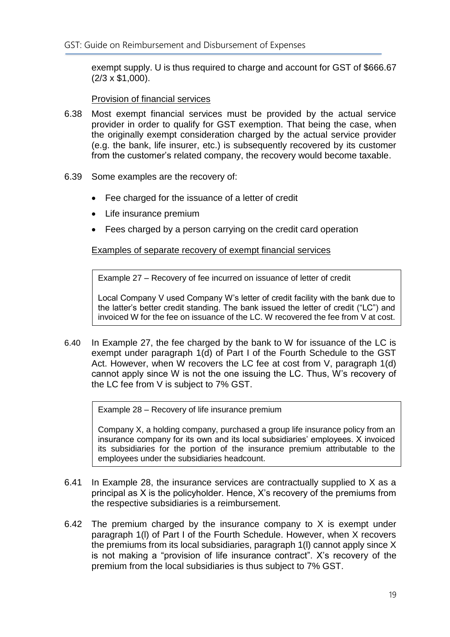exempt supply. U is thus required to charge and account for GST of \$666.67 (2/3 x \$1,000).

Provision of financial services

- 6.38 Most exempt financial services must be provided by the actual service provider in order to qualify for GST exemption. That being the case, when the originally exempt consideration charged by the actual service provider (e.g. the bank, life insurer, etc.) is subsequently recovered by its customer from the customer's related company, the recovery would become taxable.
- 6.39 Some examples are the recovery of:
	- Fee charged for the issuance of a letter of credit
	- Life insurance premium
	- Fees charged by a person carrying on the credit card operation

Examples of separate recovery of exempt financial services

Example 27 – Recovery of fee incurred on issuance of letter of credit

Local Company V used Company W's letter of credit facility with the bank due to the latter's better credit standing. The bank issued the letter of credit ("LC") and invoiced W for the fee on issuance of the LC. W recovered the fee from V at cost.

6.40 In Example 27, the fee charged by the bank to W for issuance of the LC is exempt under paragraph 1(d) of Part I of the Fourth Schedule to the GST Act. However, when W recovers the LC fee at cost from V, paragraph 1(d) cannot apply since W is not the one issuing the LC. Thus, W's recovery of the LC fee from V is subject to 7% GST.

Example 28 – Recovery of life insurance premium

Company X, a holding company, purchased a group life insurance policy from an insurance company for its own and its local subsidiaries' employees. X invoiced its subsidiaries for the portion of the insurance premium attributable to the employees under the subsidiaries headcount.

- 6.41 In Example 28, the insurance services are contractually supplied to X as a principal as X is the policyholder. Hence, X's recovery of the premiums from the respective subsidiaries is a reimbursement.
- 6.42 The premium charged by the insurance company to X is exempt under paragraph 1(l) of Part I of the Fourth Schedule. However, when X recovers the premiums from its local subsidiaries, paragraph 1(l) cannot apply since X is not making a "provision of life insurance contract". X's recovery of the premium from the local subsidiaries is thus subject to 7% GST.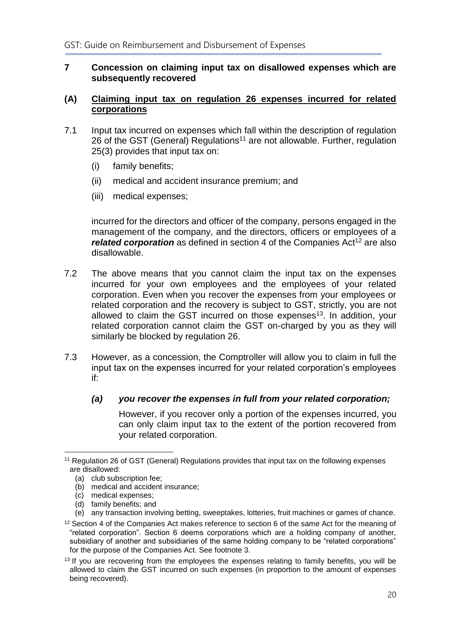#### <span id="page-22-0"></span>**7 Concession on claiming input tax on disallowed expenses which are subsequently recovered**

#### **(A) Claiming input tax on regulation 26 expenses incurred for related corporations**

- 7.1 Input tax incurred on expenses which fall within the description of regulation 26 of the GST (General) Regulations<sup>11</sup> are not allowable. Further, regulation 25(3) provides that input tax on:
	- (i) family benefits;
	- (ii) medical and accident insurance premium; and
	- (iii) medical expenses;

incurred for the directors and officer of the company, persons engaged in the management of the company, and the directors, officers or employees of a *related corporation* as defined in section 4 of the Companies Act<sup>12</sup> are also disallowable.

- 7.2 The above means that you cannot claim the input tax on the expenses incurred for your own employees and the employees of your related corporation. Even when you recover the expenses from your employees or related corporation and the recovery is subject to GST, strictly, you are not allowed to claim the GST incurred on those expenses<sup>13</sup>. In addition, your related corporation cannot claim the GST on-charged by you as they will similarly be blocked by regulation 26.
- 7.3 However, as a concession, the Comptroller will allow you to claim in full the input tax on the expenses incurred for your related corporation's employees if:

#### *(a) you recover the expenses in full from your related corporation;*

However, if you recover only a portion of the expenses incurred, you can only claim input tax to the extent of the portion recovered from your related corporation.

<u>.</u>

- (d) family benefits; and
- (e) any transaction involving betting, sweeptakes, lotteries, fruit machines or games of chance.

<sup>11</sup> Regulation 26 of GST (General) Regulations provides that input tax on the following expenses are disallowed:

<sup>(</sup>a) club subscription fee;

<sup>(</sup>b) medical and accident insurance;

<sup>(</sup>c) medical expenses;

<sup>&</sup>lt;sup>12</sup> Section 4 of the Companies Act makes reference to section 6 of the same Act for the meaning of "related corporation". Section 6 deems corporations which are a holding company of another, subsidiary of another and subsidiaries of the same holding company to be "related corporations" for the purpose of the Companies Act. See footnote 3.

<sup>&</sup>lt;sup>13</sup> If you are recovering from the employees the expenses relating to family benefits, you will be allowed to claim the GST incurred on such expenses (in proportion to the amount of expenses being recovered).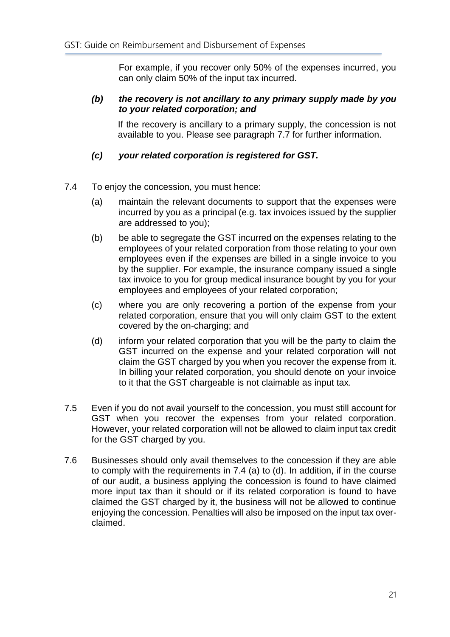For example, if you recover only 50% of the expenses incurred, you can only claim 50% of the input tax incurred.

#### *(b) the recovery is not ancillary to any primary supply made by you to your related corporation; and*

If the recovery is ancillary to a primary supply, the concession is not available to you. Please see paragraph 7.7 for further information.

#### *(c) your related corporation is registered for GST.*

- 7.4 To enjoy the concession, you must hence:
	- (a) maintain the relevant documents to support that the expenses were incurred by you as a principal (e.g. tax invoices issued by the supplier are addressed to you);
	- (b) be able to segregate the GST incurred on the expenses relating to the employees of your related corporation from those relating to your own employees even if the expenses are billed in a single invoice to you by the supplier. For example, the insurance company issued a single tax invoice to you for group medical insurance bought by you for your employees and employees of your related corporation;
	- (c) where you are only recovering a portion of the expense from your related corporation, ensure that you will only claim GST to the extent covered by the on-charging; and
	- (d) inform your related corporation that you will be the party to claim the GST incurred on the expense and your related corporation will not claim the GST charged by you when you recover the expense from it. In billing your related corporation, you should denote on your invoice to it that the GST chargeable is not claimable as input tax.
- 7.5 Even if you do not avail yourself to the concession, you must still account for GST when you recover the expenses from your related corporation. However, your related corporation will not be allowed to claim input tax credit for the GST charged by you.
- 7.6 Businesses should only avail themselves to the concession if they are able to comply with the requirements in 7.4 (a) to (d). In addition, if in the course of our audit, a business applying the concession is found to have claimed more input tax than it should or if its related corporation is found to have claimed the GST charged by it, the business will not be allowed to continue enjoying the concession. Penalties will also be imposed on the input tax overclaimed.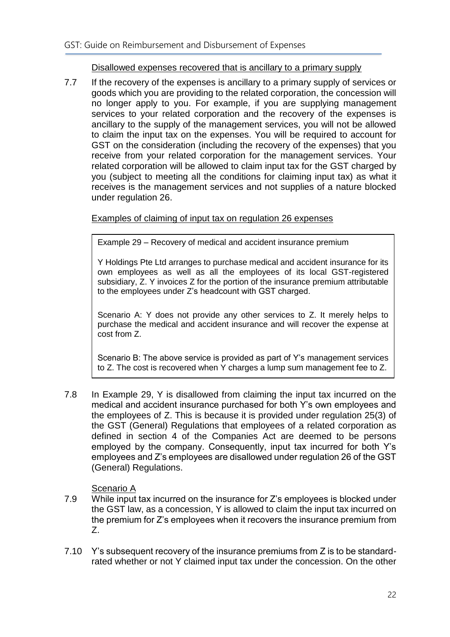#### Disallowed expenses recovered that is ancillary to a primary supply

7.7 If the recovery of the expenses is ancillary to a primary supply of services or goods which you are providing to the related corporation, the concession will no longer apply to you. For example, if you are supplying management services to your related corporation and the recovery of the expenses is ancillary to the supply of the management services, you will not be allowed to claim the input tax on the expenses. You will be required to account for GST on the consideration (including the recovery of the expenses) that you receive from your related corporation for the management services. Your related corporation will be allowed to claim input tax for the GST charged by you (subject to meeting all the conditions for claiming input tax) as what it receives is the management services and not supplies of a nature blocked under regulation 26.

#### Examples of claiming of input tax on regulation 26 expenses

Example 29 – Recovery of medical and accident insurance premium

Y Holdings Pte Ltd arranges to purchase medical and accident insurance for its own employees as well as all the employees of its local GST-registered subsidiary, Z. Y invoices Z for the portion of the insurance premium attributable to the employees under Z's headcount with GST charged.

Scenario A: Y does not provide any other services to Z. It merely helps to purchase the medical and accident insurance and will recover the expense at cost from Z.

Scenario B: The above service is provided as part of Y's management services to Z. The cost is recovered when Y charges a lump sum management fee to Z.

7.8 In Example 29, Y is disallowed from claiming the input tax incurred on the medical and accident insurance purchased for both Y's own employees and the employees of Z. This is because it is provided under regulation 25(3) of the GST (General) Regulations that employees of a related corporation as defined in section 4 of the Companies Act are deemed to be persons employed by the company. Consequently, input tax incurred for both Y's employees and Z's employees are disallowed under regulation 26 of the GST (General) Regulations.

#### Scenario A

- 7.9 While input tax incurred on the insurance for Z's employees is blocked under the GST law, as a concession, Y is allowed to claim the input tax incurred on the premium for Z's employees when it recovers the insurance premium from Z.
- 7.10 Y's subsequent recovery of the insurance premiums from Z is to be standardrated whether or not Y claimed input tax under the concession. On the other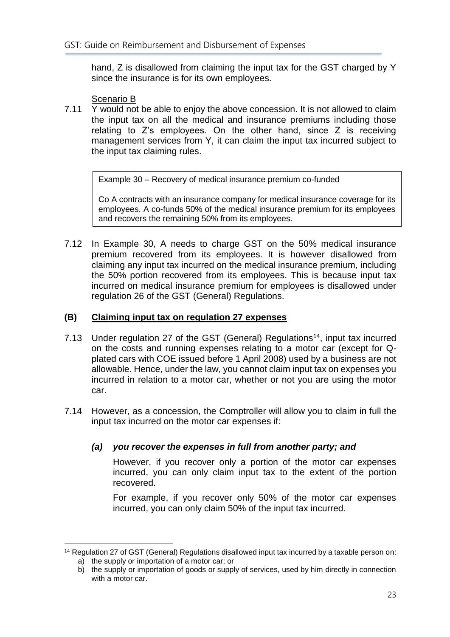hand, Z is disallowed from claiming the input tax for the GST charged by Y since the insurance is for its own employees.

Scenario B

7.11 Y would not be able to enjoy the above concession. It is not allowed to claim the input tax on all the medical and insurance premiums including those relating to Z's employees. On the other hand, since Z is receiving management services from Y, it can claim the input tax incurred subject to the input tax claiming rules.

Example 30 – Recovery of medical insurance premium co-funded

Co A contracts with an insurance company for medical insurance coverage for its employees. A co-funds 50% of the medical insurance premium for its employees and recovers the remaining 50% from its employees.

7.12 In Example 30, A needs to charge GST on the 50% medical insurance premium recovered from its employees. It is however disallowed from claiming any input tax incurred on the medical insurance premium, including the 50% portion recovered from its employees. This is because input tax incurred on medical insurance premium for employees is disallowed under regulation 26 of the GST (General) Regulations.

#### **(B) Claiming input tax on regulation 27 expenses**

- 7.13 Under regulation 27 of the GST (General) Regulations<sup>14</sup>, input tax incurred on the costs and running expenses relating to a motor car (except for Qplated cars with COE issued before 1 April 2008) used by a business are not allowable. Hence, under the law, you cannot claim input tax on expenses you incurred in relation to a motor car, whether or not you are using the motor car.
- 7.14 However, as a concession, the Comptroller will allow you to claim in full the input tax incurred on the motor car expenses if:

#### *(a) you recover the expenses in full from another party; and*

However, if you recover only a portion of the motor car expenses incurred, you can only claim input tax to the extent of the portion recovered.

For example, if you recover only 50% of the motor car expenses incurred, you can only claim 50% of the input tax incurred.

<sup>1</sup> <sup>14</sup> Regulation 27 of GST (General) Regulations disallowed input tax incurred by a taxable person on:

a) the supply or importation of a motor car; or

b) the supply or importation of goods or supply of services, used by him directly in connection with a motor car.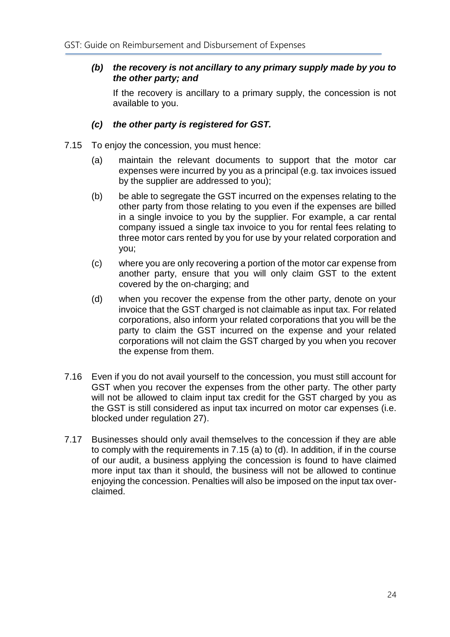#### *(b) the recovery is not ancillary to any primary supply made by you to the other party; and*

If the recovery is ancillary to a primary supply, the concession is not available to you.

#### *(c) the other party is registered for GST.*

- 7.15 To enjoy the concession, you must hence:
	- (a) maintain the relevant documents to support that the motor car expenses were incurred by you as a principal (e.g. tax invoices issued by the supplier are addressed to you);
	- (b) be able to segregate the GST incurred on the expenses relating to the other party from those relating to you even if the expenses are billed in a single invoice to you by the supplier. For example, a car rental company issued a single tax invoice to you for rental fees relating to three motor cars rented by you for use by your related corporation and you;
	- (c) where you are only recovering a portion of the motor car expense from another party, ensure that you will only claim GST to the extent covered by the on-charging; and
	- (d) when you recover the expense from the other party, denote on your invoice that the GST charged is not claimable as input tax. For related corporations, also inform your related corporations that you will be the party to claim the GST incurred on the expense and your related corporations will not claim the GST charged by you when you recover the expense from them.
- 7.16 Even if you do not avail yourself to the concession, you must still account for GST when you recover the expenses from the other party. The other party will not be allowed to claim input tax credit for the GST charged by you as the GST is still considered as input tax incurred on motor car expenses (i.e. blocked under regulation 27).
- 7.17 Businesses should only avail themselves to the concession if they are able to comply with the requirements in 7.15 (a) to (d). In addition, if in the course of our audit, a business applying the concession is found to have claimed more input tax than it should, the business will not be allowed to continue enjoying the concession. Penalties will also be imposed on the input tax overclaimed.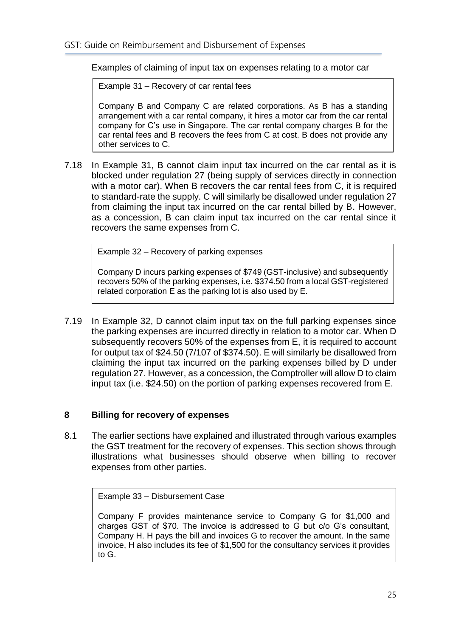#### Examples of claiming of input tax on expenses relating to a motor car

Example 31 – Recovery of car rental fees

Company B and Company C are related corporations. As B has a standing arrangement with a car rental company, it hires a motor car from the car rental company for C's use in Singapore. The car rental company charges B for the car rental fees and B recovers the fees from C at cost. B does not provide any other services to C.

7.18 In Example 31, B cannot claim input tax incurred on the car rental as it is blocked under regulation 27 (being supply of services directly in connection with a motor car). When B recovers the car rental fees from C, it is required to standard-rate the supply. C will similarly be disallowed under regulation 27 from claiming the input tax incurred on the car rental billed by B. However, as a concession, B can claim input tax incurred on the car rental since it recovers the same expenses from C.

Example 32 – Recovery of parking expenses

Company D incurs parking expenses of \$749 (GST-inclusive) and subsequently recovers 50% of the parking expenses, i.e. \$374.50 from a local GST-registered related corporation E as the parking lot is also used by E.

7.19 In Example 32, D cannot claim input tax on the full parking expenses since the parking expenses are incurred directly in relation to a motor car. When D subsequently recovers 50% of the expenses from E, it is required to account for output tax of \$24.50 (7/107 of \$374.50). E will similarly be disallowed from claiming the input tax incurred on the parking expenses billed by D under regulation 27. However, as a concession, the Comptroller will allow D to claim input tax (i.e. \$24.50) on the portion of parking expenses recovered from E.

#### <span id="page-27-0"></span>**8 Billing for recovery of expenses**

8.1 The earlier sections have explained and illustrated through various examples the GST treatment for the recovery of expenses. This section shows through illustrations what businesses should observe when billing to recover expenses from other parties.

Example 33 – Disbursement Case

Company F provides maintenance service to Company G for \$1,000 and charges GST of \$70. The invoice is addressed to G but c/o G's consultant, Company H. H pays the bill and invoices G to recover the amount. In the same invoice, H also includes its fee of \$1,500 for the consultancy services it provides to G.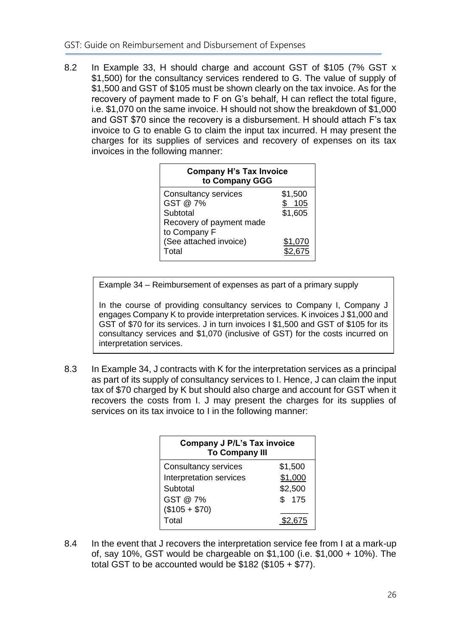8.2 In Example 33, H should charge and account GST of \$105 (7% GST x \$1,500) for the consultancy services rendered to G. The value of supply of \$1,500 and GST of \$105 must be shown clearly on the tax invoice. As for the recovery of payment made to F on G's behalf, H can reflect the total figure, i.e. \$1,070 on the same invoice. H should not show the breakdown of \$1,000 and GST \$70 since the recovery is a disbursement. H should attach F's tax invoice to G to enable G to claim the input tax incurred. H may present the charges for its supplies of services and recovery of expenses on its tax invoices in the following manner:

| <b>Company H's Tax Invoice</b><br>to Company GGG    |                           |  |
|-----------------------------------------------------|---------------------------|--|
| <b>Consultancy services</b><br>GST @ 7%<br>Subtotal | \$1,500<br>105<br>\$1,605 |  |
| Recovery of payment made<br>to Company F            |                           |  |
| (See attached invoice)<br>Total                     | \$1,070                   |  |

Example 34 – Reimbursement of expenses as part of a primary supply

In the course of providing consultancy services to Company I, Company J engages Company K to provide interpretation services. K invoices J \$1,000 and GST of \$70 for its services. J in turn invoices I \$1,500 and GST of \$105 for its consultancy services and \$1,070 (inclusive of GST) for the costs incurred on interpretation services.

8.3 In Example 34, J contracts with K for the interpretation services as a principal as part of its supply of consultancy services to I. Hence, J can claim the input tax of \$70 charged by K but should also charge and account for GST when it recovers the costs from I. J may present the charges for its supplies of services on its tax invoice to I in the following manner:

| <b>Company J P/L's Tax invoice</b><br><b>To Company III</b> |         |
|-------------------------------------------------------------|---------|
| <b>Consultancy services</b>                                 | \$1,500 |
| Interpretation services                                     | \$1,000 |
| Subtotal                                                    | \$2,500 |
| GST @ 7%                                                    | \$175   |
| $($105 + $70)$                                              |         |
| Total                                                       | 2.675   |

8.4 In the event that J recovers the interpretation service fee from I at a mark-up of, say 10%, GST would be chargeable on \$1,100 (i.e. \$1,000 + 10%). The total GST to be accounted would be  $$182$  (\$105 + \$77).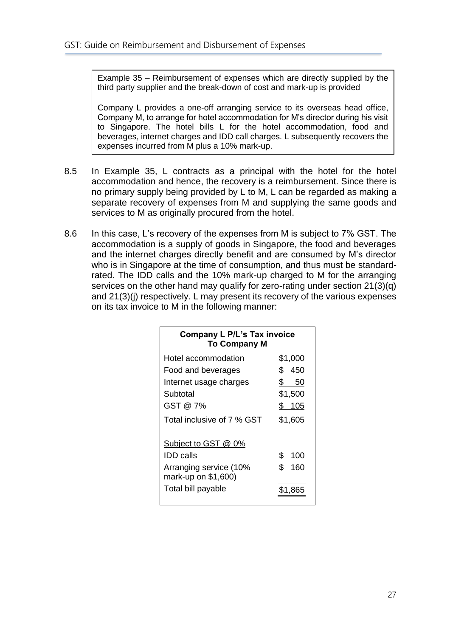Example 35 – Reimbursement of expenses which are directly supplied by the third party supplier and the break-down of cost and mark-up is provided

Company L provides a one-off arranging service to its overseas head office, Company M, to arrange for hotel accommodation for M's director during his visit to Singapore. The hotel bills L for the hotel accommodation, food and beverages, internet charges and IDD call charges. L subsequently recovers the expenses incurred from M plus a 10% mark-up.

- 8.5 In Example 35, L contracts as a principal with the hotel for the hotel accommodation and hence, the recovery is a reimbursement. Since there is no primary supply being provided by L to M, L can be regarded as making a separate recovery of expenses from M and supplying the same goods and services to M as originally procured from the hotel.
- 8.6 In this case, L's recovery of the expenses from M is subject to 7% GST. The accommodation is a supply of goods in Singapore, the food and beverages and the internet charges directly benefit and are consumed by M's director who is in Singapore at the time of consumption, and thus must be standardrated. The IDD calls and the 10% mark-up charged to M for the arranging services on the other hand may qualify for zero-rating under section  $21(3)(q)$ and 21(3)(j) respectively. L may present its recovery of the various expenses on its tax invoice to M in the following manner:

<span id="page-29-0"></span>

| COMPANY L F/L S TAX MYOICG<br><b>To Company M</b> |           |
|---------------------------------------------------|-----------|
| Hotel accommodation                               | \$1,000   |
| Food and beverages                                | 450<br>\$ |
| Internet usage charges                            | \$<br>50  |
| Subtotal                                          | \$1,500   |
| GST @ 7%                                          | \$ 105    |
| Total inclusive of 7 % GST                        | \$1,605   |
| Subject to GST @ 0%                               |           |
| <b>IDD</b> calls                                  | \$<br>100 |
| Arranging service (10%<br>mark-up on \$1,600)     | \$<br>160 |
| Total bill payable                                | \$1,865   |

# **Company L P/L's Tax invoice**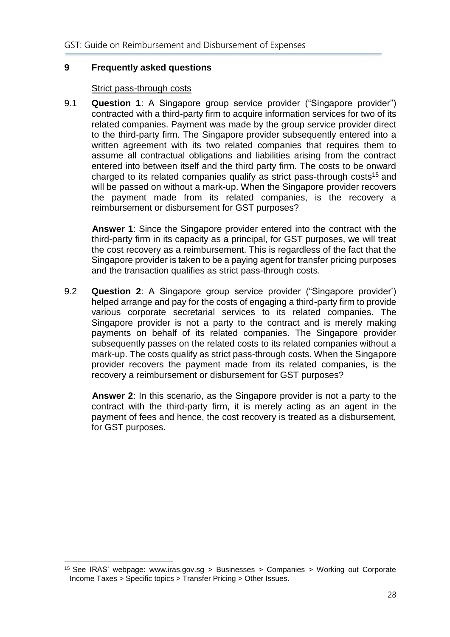#### **9 Frequently asked questions**

#### Strict pass-through costs

9.1 **Question 1**: A Singapore group service provider ("Singapore provider") contracted with a third-party firm to acquire information services for two of its related companies. Payment was made by the group service provider direct to the third-party firm. The Singapore provider subsequently entered into a written agreement with its two related companies that requires them to assume all contractual obligations and liabilities arising from the contract entered into between itself and the third party firm. The costs to be onward charged to its related companies qualify as strict pass-through costs<sup>15</sup> and will be passed on without a mark-up. When the Singapore provider recovers the payment made from its related companies, is the recovery a reimbursement or disbursement for GST purposes?

**Answer 1**: Since the Singapore provider entered into the contract with the third-party firm in its capacity as a principal, for GST purposes, we will treat the cost recovery as a reimbursement. This is regardless of the fact that the Singapore provider is taken to be a paying agent for transfer pricing purposes and the transaction qualifies as strict pass-through costs.

9.2 **Question 2**: A Singapore group service provider ("Singapore provider') helped arrange and pay for the costs of engaging a third-party firm to provide various corporate secretarial services to its related companies. The Singapore provider is not a party to the contract and is merely making payments on behalf of its related companies. The Singapore provider subsequently passes on the related costs to its related companies without a mark-up. The costs qualify as strict pass-through costs. When the Singapore provider recovers the payment made from its related companies, is the recovery a reimbursement or disbursement for GST purposes?

**Answer 2**: In this scenario, as the Singapore provider is not a party to the contract with the third-party firm, it is merely acting as an agent in the payment of fees and hence, the cost recovery is treated as a disbursement, for GST purposes.

1

<sup>15</sup> See IRAS' webpage: www.iras.gov.sg > Businesses > Companies > Working out Corporate Income Taxes > Specific topics > Transfer Pricing > Other Issues.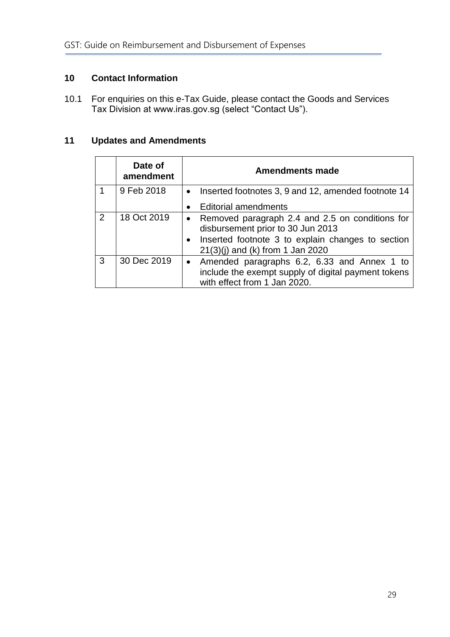#### <span id="page-31-0"></span>**10 Contact Information**

10.1 For enquiries on this e-Tax Guide, please contact the Goods and Services Tax Division at www.iras.gov.sg (select "Contact Us").

### <span id="page-31-1"></span>**11 Updates and Amendments**

|   | Date of<br>amendment | <b>Amendments made</b>                                                                                                                                                                       |
|---|----------------------|----------------------------------------------------------------------------------------------------------------------------------------------------------------------------------------------|
|   | 9 Feb 2018           | Inserted footnotes 3, 9 and 12, amended footnote 14<br>$\bullet$                                                                                                                             |
|   |                      | <b>Editorial amendments</b>                                                                                                                                                                  |
| 2 | 18 Oct 2019          | Removed paragraph 2.4 and 2.5 on conditions for<br>$\bullet$<br>disbursement prior to 30 Jun 2013<br>Inserted footnote 3 to explain changes to section<br>$21(3)(i)$ and (k) from 1 Jan 2020 |
| 3 | 30 Dec 2019          | • Amended paragraphs 6.2, 6.33 and Annex 1 to<br>include the exempt supply of digital payment tokens<br>with effect from 1 Jan 2020.                                                         |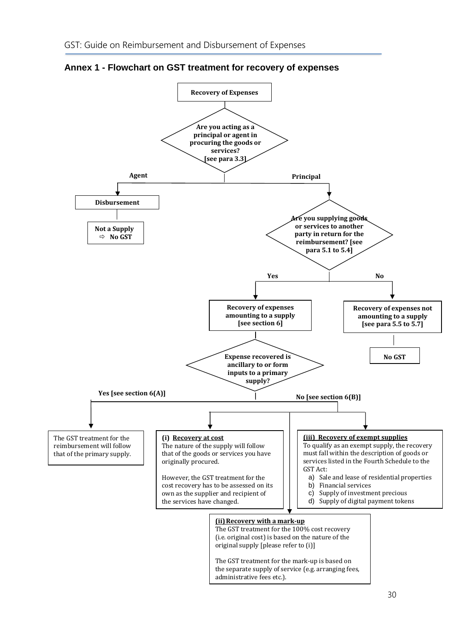

<span id="page-32-0"></span>**Annex 1 - Flowchart on GST treatment for recovery of expenses**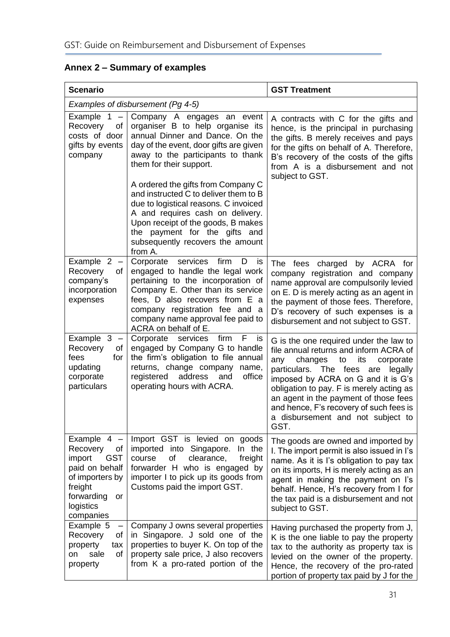| <b>Scenario</b>                                                                                                                                       |                                                                                                                                                                                                                                                                                          | <b>GST Treatment</b>                                                                                                                                                                                                                                                                                                                                                                    |  |
|-------------------------------------------------------------------------------------------------------------------------------------------------------|------------------------------------------------------------------------------------------------------------------------------------------------------------------------------------------------------------------------------------------------------------------------------------------|-----------------------------------------------------------------------------------------------------------------------------------------------------------------------------------------------------------------------------------------------------------------------------------------------------------------------------------------------------------------------------------------|--|
| Examples of disbursement (Pg 4-5)                                                                                                                     |                                                                                                                                                                                                                                                                                          |                                                                                                                                                                                                                                                                                                                                                                                         |  |
| Example $1 -$<br>Recovery<br>0f<br>costs of door<br>gifts by events<br>company                                                                        | Company A engages an event<br>organiser B to help organise its<br>annual Dinner and Dance. On the<br>day of the event, door gifts are given<br>away to the participants to thank<br>them for their support.                                                                              | A contracts with C for the gifts and<br>hence, is the principal in purchasing<br>the gifts. B merely receives and pays<br>for the gifts on behalf of A. Therefore,<br>B's recovery of the costs of the gifts<br>from A is a disbursement and not<br>subject to GST.                                                                                                                     |  |
|                                                                                                                                                       | A ordered the gifts from Company C<br>and instructed C to deliver them to B<br>due to logistical reasons. C invoiced<br>A and requires cash on delivery.<br>Upon receipt of the goods, B makes<br>the payment for the gifts and<br>subsequently recovers the amount<br>from A.           |                                                                                                                                                                                                                                                                                                                                                                                         |  |
| Example $2 -$<br>Recovery<br>of<br>company's<br>incorporation<br>expenses                                                                             | Corporate<br>services<br>firm<br>D<br>is<br>engaged to handle the legal work<br>pertaining to the incorporation of<br>Company E. Other than its service<br>fees, D also recovers from E a<br>company registration fee and a<br>company name approval fee paid to<br>ACRA on behalf of E. | The fees charged by ACRA for<br>company registration and company<br>name approval are compulsorily levied<br>on E. D is merely acting as an agent in<br>the payment of those fees. Therefore,<br>D's recovery of such expenses is a<br>disbursement and not subject to GST.                                                                                                             |  |
| Example $3 -$<br>Recovery<br>οf<br>fees<br>for<br>updating<br>corporate<br>particulars                                                                | firm<br>F<br>Corporate<br>services<br><b>IS</b><br>engaged by Company G to handle<br>the firm's obligation to file annual<br>returns, change company name,<br>registered address<br>and<br>office<br>operating hours with ACRA.                                                          | G is the one required under the law to<br>file annual returns and inform ACRA of<br>changes<br>its<br>any<br>to<br>corporate<br>particulars. The fees are<br>legally<br>imposed by ACRA on G and it is G's<br>obligation to pay. F is merely acting as<br>an agent in the payment of those fees<br>and hence, F's recovery of such fees is<br>a disbursement and not subject to<br>GST. |  |
| Example $4 -$<br>Recovery<br>of<br><b>GST</b><br>import<br>paid on behalf<br>of importers by<br>freight<br>forwarding<br>or<br>logistics<br>companies | Import GST is levied on goods<br>imported into Singapore. In the<br>of<br>clearance,<br>course<br>freight<br>forwarder H who is engaged by<br>importer I to pick up its goods from<br>Customs paid the import GST.                                                                       | The goods are owned and imported by<br>I. The import permit is also issued in I's<br>name. As it is I's obligation to pay tax<br>on its imports, H is merely acting as an<br>agent in making the payment on I's<br>behalf. Hence, H's recovery from I for<br>the tax paid is a disbursement and not<br>subject to GST.                                                                  |  |
| Example 5<br>$\overline{\phantom{a}}$<br>Recovery<br>οf<br>property<br>tax<br>sale<br>of<br>on<br>property                                            | Company J owns several properties<br>in Singapore. J sold one of the<br>properties to buyer K. On top of the<br>property sale price, J also recovers<br>from K a pro-rated portion of the                                                                                                | Having purchased the property from J,<br>K is the one liable to pay the property<br>tax to the authority as property tax is<br>levied on the owner of the property.<br>Hence, the recovery of the pro-rated<br>portion of property tax paid by J for the                                                                                                                                |  |

<span id="page-33-0"></span>**Annex 2 – Summary of examples**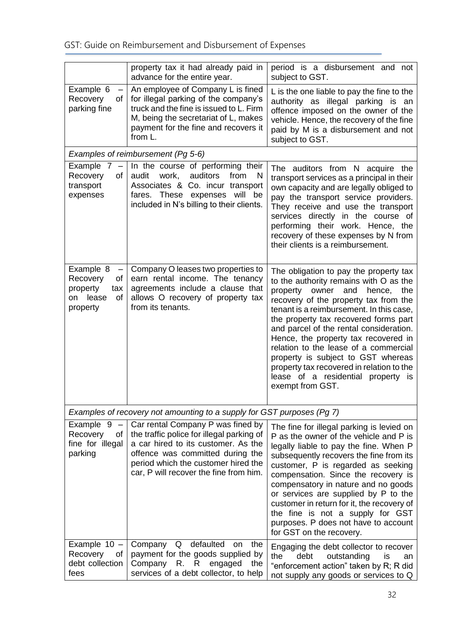|                                                                                   | property tax it had already paid in<br>advance for the entire year.                                                                                                                                                                        | period is a disbursement and not<br>subject to GST.                                                                                                                                                                                                                                                                                                                                                                                                                                                                               |
|-----------------------------------------------------------------------------------|--------------------------------------------------------------------------------------------------------------------------------------------------------------------------------------------------------------------------------------------|-----------------------------------------------------------------------------------------------------------------------------------------------------------------------------------------------------------------------------------------------------------------------------------------------------------------------------------------------------------------------------------------------------------------------------------------------------------------------------------------------------------------------------------|
| Example 6<br>—<br>Recovery<br>οf<br>parking fine                                  | An employee of Company L is fined<br>for illegal parking of the company's<br>truck and the fine is issued to L. Firm<br>M, being the secretariat of L, makes<br>payment for the fine and recovers it<br>from L.                            | L is the one liable to pay the fine to the<br>authority as illegal parking is an<br>offence imposed on the owner of the<br>vehicle. Hence, the recovery of the fine<br>paid by M is a disbursement and not<br>subject to GST.                                                                                                                                                                                                                                                                                                     |
|                                                                                   | Examples of reimbursement (Pg 5-6)                                                                                                                                                                                                         |                                                                                                                                                                                                                                                                                                                                                                                                                                                                                                                                   |
| Example 7<br>$\overline{\phantom{m}}$<br>Recovery<br>οf<br>transport<br>expenses  | In the course of performing their<br>from<br>audit<br>work,<br>auditors<br>N.<br>Associates & Co. incur transport<br>fares. These expenses will be<br>included in N's billing to their clients.                                            | The auditors from N acquire the<br>transport services as a principal in their<br>own capacity and are legally obliged to<br>pay the transport service providers.<br>They receive and use the transport<br>services directly in the course of<br>performing their work. Hence, the<br>recovery of these expenses by N from<br>their clients is a reimbursement.                                                                                                                                                                    |
| Example 8<br>—<br>Recovery<br>οf<br>property<br>tax<br>on lease<br>οf<br>property | Company O leases two properties to<br>earn rental income. The tenancy<br>agreements include a clause that<br>allows O recovery of property tax<br>from its tenants.                                                                        | The obligation to pay the property tax<br>to the authority remains with O as the<br>property owner<br>the<br>and<br>hence,<br>recovery of the property tax from the<br>tenant is a reimbursement. In this case,<br>the property tax recovered forms part<br>and parcel of the rental consideration.<br>Hence, the property tax recovered in<br>relation to the lease of a commercial<br>property is subject to GST whereas<br>property tax recovered in relation to the<br>lease of a residential property is<br>exempt from GST. |
|                                                                                   | Examples of recovery not amounting to a supply for GST purposes (Pg 7)                                                                                                                                                                     |                                                                                                                                                                                                                                                                                                                                                                                                                                                                                                                                   |
| Example $9 -$<br>Recovery<br>0f<br>fine for illegal<br>parking                    | Car rental Company P was fined by<br>the traffic police for illegal parking of<br>a car hired to its customer. As the<br>offence was committed during the<br>period which the customer hired the<br>car, P will recover the fine from him. | The fine for illegal parking is levied on<br>P as the owner of the vehicle and P is<br>legally liable to pay the fine. When P<br>subsequently recovers the fine from its<br>customer, P is regarded as seeking<br>compensation. Since the recovery is<br>compensatory in nature and no goods<br>or services are supplied by P to the<br>customer in return for it, the recovery of<br>the fine is not a supply for GST<br>purposes. P does not have to account<br>for GST on the recovery.                                        |
| Example $10 -$<br>Recovery<br>οf<br>debt collection<br>fees                       | defaulted<br>Company Q<br>the<br>on<br>payment for the goods supplied by<br>Company R.<br>R.<br>engaged<br>the<br>services of a debt collector, to help                                                                                    | Engaging the debt collector to recover<br>the<br>debt<br>outstanding<br>is<br>an<br>"enforcement action" taken by R; R did<br>not supply any goods or services to Q                                                                                                                                                                                                                                                                                                                                                               |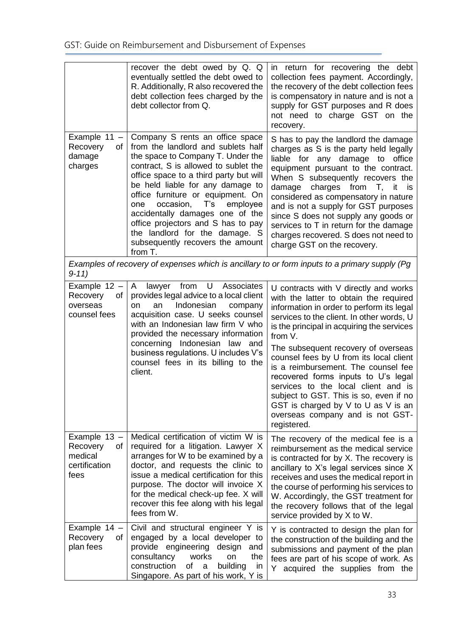|                                                                    | recover the debt owed by Q. Q<br>eventually settled the debt owed to<br>R. Additionally, R also recovered the<br>debt collection fees charged by the<br>debt collector from Q.                                                                                                                                                                                                                                                                                      | in return for recovering the debt<br>collection fees payment. Accordingly,<br>the recovery of the debt collection fees<br>is compensatory in nature and is not a<br>supply for GST purposes and R does<br>not need to charge GST on the<br>recovery.                                                                                                                                                                                                                      |
|--------------------------------------------------------------------|---------------------------------------------------------------------------------------------------------------------------------------------------------------------------------------------------------------------------------------------------------------------------------------------------------------------------------------------------------------------------------------------------------------------------------------------------------------------|---------------------------------------------------------------------------------------------------------------------------------------------------------------------------------------------------------------------------------------------------------------------------------------------------------------------------------------------------------------------------------------------------------------------------------------------------------------------------|
| Example 11 -<br>Recovery<br>οf<br>damage<br>charges                | Company S rents an office space<br>from the landlord and sublets half<br>the space to Company T. Under the<br>contract, S is allowed to sublet the<br>office space to a third party but will<br>be held liable for any damage to<br>office furniture or equipment. On<br>occasion, T's<br>employee<br>one<br>accidentally damages one of the<br>office projectors and S has to pay<br>the landlord for the damage. S<br>subsequently recovers the amount<br>from T. | S has to pay the landlord the damage<br>charges as S is the party held legally<br>liable for any damage to<br>office<br>equipment pursuant to the contract.<br>When S subsequently recovers the<br>damage charges from T, it is<br>considered as compensatory in nature<br>and is not a supply for GST purposes<br>since S does not supply any goods or<br>services to T in return for the damage<br>charges recovered. S does not need to<br>charge GST on the recovery. |
| $9-11)$                                                            |                                                                                                                                                                                                                                                                                                                                                                                                                                                                     | Examples of recovery of expenses which is ancillary to or form inputs to a primary supply (Pg)                                                                                                                                                                                                                                                                                                                                                                            |
| Example 12 -<br>Recovery<br>0f<br>overseas<br>counsel fees         | from U Associates<br>lawyer<br>A<br>provides legal advice to a local client<br>Indonesian<br>an<br>company<br>on<br>acquisition case. U seeks counsel<br>with an Indonesian law firm V who<br>provided the necessary information<br>Indonesian law and<br>concerning<br>business regulations. U includes V's                                                                                                                                                        | U contracts with V directly and works<br>with the latter to obtain the required<br>information in order to perform its legal<br>services to the client. In other words, U<br>is the principal in acquiring the services<br>from V.<br>The subsequent recovery of overseas                                                                                                                                                                                                 |
|                                                                    | counsel fees in its billing to the<br>client.                                                                                                                                                                                                                                                                                                                                                                                                                       | counsel fees by U from its local client<br>is a reimbursement. The counsel fee<br>recovered forms inputs to U's legal<br>services to the local client and is<br>subject to GST. This is so, even if no<br>GST is charged by $V$ to $U$ as $V$ is an<br>overseas company and is not GST-<br>registered.                                                                                                                                                                    |
| Example 13 -<br>Recovery<br>οf<br>medical<br>certification<br>fees | Medical certification of victim W is<br>required for a litigation. Lawyer X<br>arranges for W to be examined by a<br>doctor, and requests the clinic to<br>issue a medical certification for this<br>purpose. The doctor will invoice X<br>for the medical check-up fee. X will<br>recover this fee along with his legal<br>fees from W.                                                                                                                            | The recovery of the medical fee is a<br>reimbursement as the medical service<br>is contracted for by X. The recovery is<br>ancillary to X's legal services since X<br>receives and uses the medical report in<br>the course of performing his services to<br>W. Accordingly, the GST treatment for<br>the recovery follows that of the legal<br>service provided by X to W.                                                                                               |
| Example 14 -<br>Recovery<br>ot<br>plan fees                        | Civil and structural engineer Y is<br>engaged by a local developer to<br>provide engineering<br>design<br>and<br>consultancy<br>works<br>the<br>on<br>construction<br>building<br>of<br>a<br>in<br>Singapore. As part of his work, Y is                                                                                                                                                                                                                             | Y is contracted to design the plan for<br>the construction of the building and the<br>submissions and payment of the plan<br>fees are part of his scope of work. As<br>Y acquired the supplies from the                                                                                                                                                                                                                                                                   |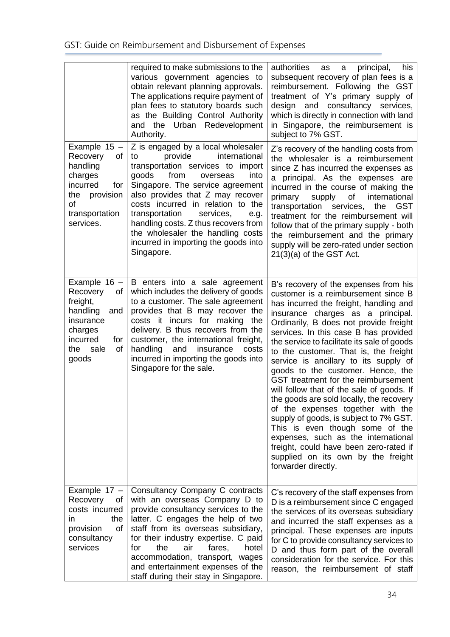|                                                                                                                                       | required to make submissions to the<br>various government agencies to<br>obtain relevant planning approvals.<br>The applications require payment of<br>plan fees to statutory boards such<br>as the Building Control Authority<br>and the Urban Redevelopment<br>Authority.                                                                                                                                                           | authorities<br>his<br>principal,<br>as<br>a<br>subsequent recovery of plan fees is a<br>reimbursement. Following the GST<br>treatment of Y's primary supply of<br>design and consultancy services,<br>which is directly in connection with land<br>in Singapore, the reimbursement is<br>subject to 7% GST.                                                                                                                                                                                                                                                                                                                                                                                                                                                                                                          |
|---------------------------------------------------------------------------------------------------------------------------------------|---------------------------------------------------------------------------------------------------------------------------------------------------------------------------------------------------------------------------------------------------------------------------------------------------------------------------------------------------------------------------------------------------------------------------------------|----------------------------------------------------------------------------------------------------------------------------------------------------------------------------------------------------------------------------------------------------------------------------------------------------------------------------------------------------------------------------------------------------------------------------------------------------------------------------------------------------------------------------------------------------------------------------------------------------------------------------------------------------------------------------------------------------------------------------------------------------------------------------------------------------------------------|
| Example $15 -$<br>Recovery<br>οf<br>handling<br>charges<br>incurred<br>for<br>the provision<br>0f<br>transportation<br>services.      | Z is engaged by a local wholesaler<br>international<br>provide<br>to<br>transportation services to import<br>goods<br>from<br>into<br>overseas<br>Singapore. The service agreement<br>also provides that Z may recover<br>costs incurred in relation to the<br>transportation<br>services,<br>e.g.<br>handling costs. Z thus recovers from<br>the wholesaler the handling costs<br>incurred in importing the goods into<br>Singapore. | Z's recovery of the handling costs from<br>the wholesaler is a reimbursement<br>since Z has incurred the expenses as<br>a principal. As the expenses are<br>incurred in the course of making the<br>supply<br>of<br>international<br>primary<br>transportation services,<br>the<br><b>GST</b><br>treatment for the reimbursement will<br>follow that of the primary supply - both<br>the reimbursement and the primary<br>supply will be zero-rated under section<br>$21(3)(a)$ of the GST Act.                                                                                                                                                                                                                                                                                                                      |
| Example $16 -$<br>Recovery<br>0f<br>freight,<br>handling<br>and<br>insurance<br>charges<br>incurred<br>for<br>the sale<br>οf<br>goods | B enters into a sale agreement<br>which includes the delivery of goods<br>to a customer. The sale agreement<br>provides that B may recover the<br>costs it incurs for making the<br>delivery. B thus recovers from the<br>customer, the international freight,<br>handling<br>and<br>insurance<br>costs<br>incurred in importing the goods into<br>Singapore for the sale.                                                            | B's recovery of the expenses from his<br>customer is a reimbursement since B<br>has incurred the freight, handling and<br>insurance charges as a principal.<br>Ordinarily, B does not provide freight<br>services. In this case B has provided<br>the service to facilitate its sale of goods<br>to the customer. That is, the freight<br>service is ancillary to its supply of<br>goods to the customer. Hence, the<br>GST treatment for the reimbursement<br>will follow that of the sale of goods. If<br>the goods are sold locally, the recovery<br>of the expenses together with the<br>supply of goods, is subject to 7% GST.<br>This is even though some of the<br>expenses, such as the international<br>freight, could have been zero-rated if<br>supplied on its own by the freight<br>forwarder directly. |
| Example 17 -<br>Recovery<br>0t<br>costs incurred<br>the<br>in<br>provision<br>οf<br>consultancy<br>services                           | Consultancy Company C contracts<br>with an overseas Company D to<br>provide consultancy services to the<br>latter. C engages the help of two<br>staff from its overseas subsidiary,<br>for their industry expertise. C paid<br>for<br>the<br>air<br>fares,<br>hotel<br>accommodation, transport, wages<br>and entertainment expenses of the<br>staff during their stay in Singapore.                                                  | C's recovery of the staff expenses from<br>D is a reimbursement since C engaged<br>the services of its overseas subsidiary<br>and incurred the staff expenses as a<br>principal. These expenses are inputs<br>for C to provide consultancy services to<br>D and thus form part of the overall<br>consideration for the service. For this<br>reason, the reimbursement of staff                                                                                                                                                                                                                                                                                                                                                                                                                                       |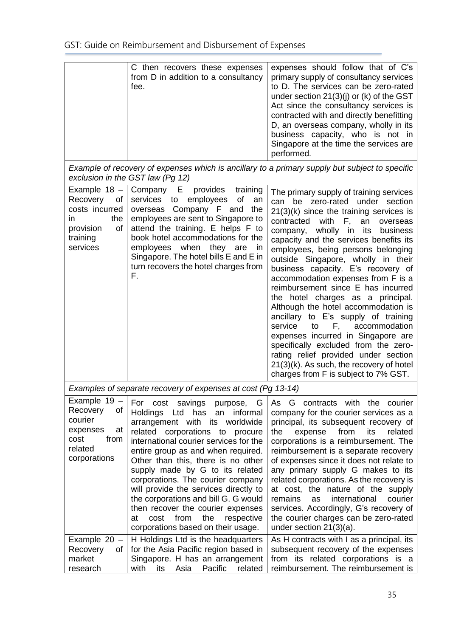GST: Guide on Reimbursement and Disbursement of Expenses

|                                                                                                           | C then recovers these expenses<br>from D in addition to a consultancy<br>fee.                                                                                                                                                                                                                                                                                                                                                                                                                                                                            | expenses should follow that of C's<br>primary supply of consultancy services<br>to D. The services can be zero-rated<br>under section $21(3)(j)$ or (k) of the GST<br>Act since the consultancy services is<br>contracted with and directly benefitting<br>D, an overseas company, wholly in its<br>business capacity, who is not in<br>Singapore at the time the services are<br>performed.                                                                                                                                                                                                                                                                                                                                                                                                                                |
|-----------------------------------------------------------------------------------------------------------|----------------------------------------------------------------------------------------------------------------------------------------------------------------------------------------------------------------------------------------------------------------------------------------------------------------------------------------------------------------------------------------------------------------------------------------------------------------------------------------------------------------------------------------------------------|-----------------------------------------------------------------------------------------------------------------------------------------------------------------------------------------------------------------------------------------------------------------------------------------------------------------------------------------------------------------------------------------------------------------------------------------------------------------------------------------------------------------------------------------------------------------------------------------------------------------------------------------------------------------------------------------------------------------------------------------------------------------------------------------------------------------------------|
|                                                                                                           | exclusion in the GST law (Pg 12)                                                                                                                                                                                                                                                                                                                                                                                                                                                                                                                         | Example of recovery of expenses which is ancillary to a primary supply but subject to specific                                                                                                                                                                                                                                                                                                                                                                                                                                                                                                                                                                                                                                                                                                                              |
| Example 18 -<br>Recovery<br>Οf<br>costs incurred<br>the<br>in.<br>provision<br>οf<br>training<br>services | Company<br>Е<br>provides<br>training<br>employees<br><b>of</b><br>services to<br>an<br>overseas Company F and<br>the<br>employees are sent to Singapore to<br>attend the training. E helps F to<br>book hotel accommodations for the<br>employees when they are<br><i>in</i><br>Singapore. The hotel bills E and E in<br>turn recovers the hotel charges from<br>F.                                                                                                                                                                                      | The primary supply of training services<br>can be zero-rated under section<br>$21(3)(k)$ since the training services is<br>an<br>contracted<br>with<br>F,<br>overseas<br>wholly in its<br>business<br>company,<br>capacity and the services benefits its<br>employees, being persons belonging<br>outside Singapore, wholly in their<br>business capacity. E's recovery of<br>accommodation expenses from F is a<br>reimbursement since E has incurred<br>the hotel charges as a principal.<br>Although the hotel accommodation is<br>ancillary to E's supply of training<br>service<br>accommodation<br>F,<br>to<br>expenses incurred in Singapore are<br>specifically excluded from the zero-<br>rating relief provided under section<br>21(3)(k). As such, the recovery of hotel<br>charges from F is subject to 7% GST. |
|                                                                                                           | Examples of separate recovery of expenses at cost (Pg 13-14)                                                                                                                                                                                                                                                                                                                                                                                                                                                                                             |                                                                                                                                                                                                                                                                                                                                                                                                                                                                                                                                                                                                                                                                                                                                                                                                                             |
| Example 19 -<br>Recovery<br>0f<br>courier<br>expenses<br>at<br>from<br>cost<br>related<br>corporations    | For cost savings purpose, G<br>has<br><b>Holdings</b><br>Ltd<br>informal<br>an<br>arrangement with its worldwide<br>related corporations to procure<br>international courier services for the<br>entire group as and when required.<br>Other than this, there is no other<br>supply made by G to its related<br>corporations. The courier company<br>will provide the services directly to<br>the corporations and bill G. G would<br>then recover the courier expenses<br>from<br>the<br>cost<br>respective<br>at<br>corporations based on their usage. | As G contracts with the courier<br>company for the courier services as a<br>principal, its subsequent recovery of<br>the<br>expense<br>from<br>its<br>related<br>corporations is a reimbursement. The<br>reimbursement is a separate recovery<br>of expenses since it does not relate to<br>any primary supply G makes to its<br>related corporations. As the recovery is<br>at cost, the nature of the supply<br>courier<br>remains<br>international<br>as<br>services. Accordingly, G's recovery of<br>the courier charges can be zero-rated<br>under section $21(3)(a)$ .                                                                                                                                                                                                                                                |
| Example $20 -$<br>Recovery<br>0t<br>market<br>research                                                    | H Holdings Ltd is the headquarters<br>for the Asia Pacific region based in<br>Singapore. H has an arrangement<br>Pacific<br>Asia<br>with<br>its<br>related                                                                                                                                                                                                                                                                                                                                                                                               | As H contracts with I as a principal, its<br>subsequent recovery of the expenses<br>from its related corporations is a<br>reimbursement. The reimbursement is                                                                                                                                                                                                                                                                                                                                                                                                                                                                                                                                                                                                                                                               |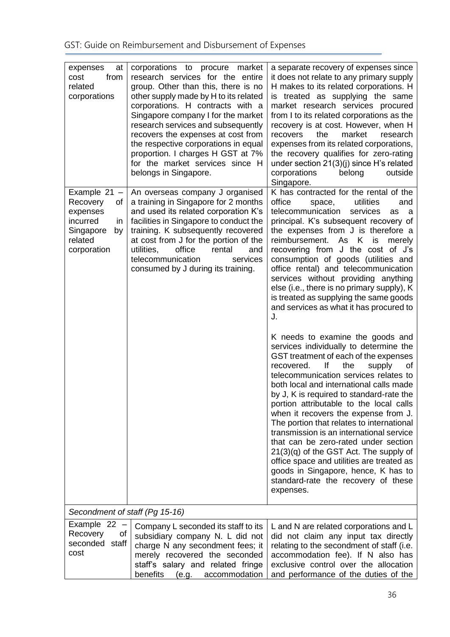| expenses<br>at<br>from<br>cost<br>related<br>corporations                                                   | corporations to procure market<br>research services for the entire<br>group. Other than this, there is no<br>other supply made by H to its related<br>corporations. H contracts with a<br>Singapore company I for the market<br>research services and subsequently<br>recovers the expenses at cost from<br>the respective corporations in equal<br>proportion. I charges H GST at 7%<br>for the market services since H<br>belongs in Singapore. | a separate recovery of expenses since<br>it does not relate to any primary supply<br>H makes to its related corporations. H<br>is treated as supplying the same<br>market research services procured<br>from I to its related corporations as the<br>recovery is at cost. However, when H<br>the<br>market<br>recovers<br>research<br>expenses from its related corporations,<br>the recovery qualifies for zero-rating<br>under section $21(3)(j)$ since H's related<br>corporations<br>outside<br>belong<br>Singapore.                                                                                                                                                                               |
|-------------------------------------------------------------------------------------------------------------|---------------------------------------------------------------------------------------------------------------------------------------------------------------------------------------------------------------------------------------------------------------------------------------------------------------------------------------------------------------------------------------------------------------------------------------------------|--------------------------------------------------------------------------------------------------------------------------------------------------------------------------------------------------------------------------------------------------------------------------------------------------------------------------------------------------------------------------------------------------------------------------------------------------------------------------------------------------------------------------------------------------------------------------------------------------------------------------------------------------------------------------------------------------------|
| Example $21 -$<br>Recovery<br>of<br>expenses<br>incurred<br>in<br>Singapore<br>by<br>related<br>corporation | An overseas company J organised<br>a training in Singapore for 2 months<br>and used its related corporation K's<br>facilities in Singapore to conduct the<br>training. K subsequently recovered<br>at cost from J for the portion of the<br>office<br>utilities,<br>rental<br>and<br>telecommunication<br>services<br>consumed by J during its training.                                                                                          | K has contracted for the rental of the<br>office<br>utilities<br>and<br>space,<br>telecommunication<br>services<br>as<br>a<br>principal. K's subsequent recovery of<br>the expenses from J is therefore a<br>reimbursement. As K is<br>merely<br>recovering from J the cost of J's<br>consumption of goods (utilities and<br>office rental) and telecommunication<br>services without providing anything<br>else (i.e., there is no primary supply), K<br>is treated as supplying the same goods<br>and services as what it has procured to<br>J.                                                                                                                                                      |
|                                                                                                             |                                                                                                                                                                                                                                                                                                                                                                                                                                                   | K needs to examine the goods and<br>services individually to determine the<br>GST treatment of each of the expenses<br>lf<br>the<br>recovered.<br>supply<br>of<br>telecommunication services relates to<br>both local and international calls made<br>by J, K is required to standard-rate the<br>portion attributable to the local calls<br>when it recovers the expense from J.<br>The portion that relates to international<br>transmission is an international service<br>that can be zero-rated under section<br>$21(3)(q)$ of the GST Act. The supply of<br>office space and utilities are treated as<br>goods in Singapore, hence, K has to<br>standard-rate the recovery of these<br>expenses. |
| Secondment of staff (Pg 15-16)                                                                              |                                                                                                                                                                                                                                                                                                                                                                                                                                                   |                                                                                                                                                                                                                                                                                                                                                                                                                                                                                                                                                                                                                                                                                                        |
| Example 22 -<br>Recovery<br>οf<br>seconded staff<br>cost                                                    | Company L seconded its staff to its<br>subsidiary company N. L did not<br>charge N any secondment fees; it<br>merely recovered the seconded<br>staff's salary and related fringe<br>benefits (e.g.<br>accommodation                                                                                                                                                                                                                               | L and N are related corporations and L<br>did not claim any input tax directly<br>relating to the secondment of staff (i.e.<br>accommodation fee). If N also has<br>exclusive control over the allocation<br>and performance of the duties of the                                                                                                                                                                                                                                                                                                                                                                                                                                                      |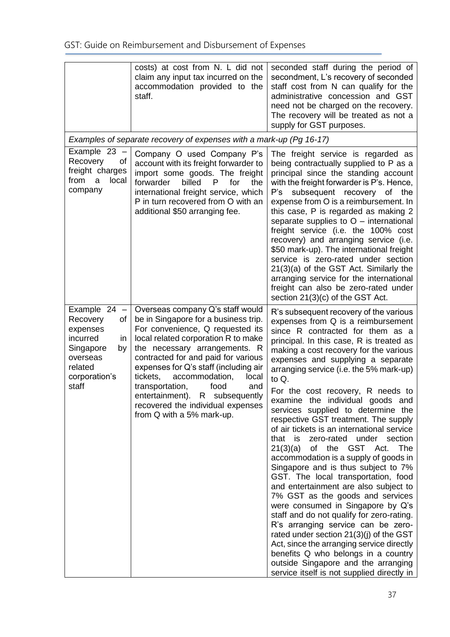|                                                                                                                                   | costs) at cost from N. L did not<br>claim any input tax incurred on the<br>accommodation provided to the<br>staff.                                                                                                                                                                                                                                                                                                                                | seconded staff during the period of<br>secondment, L's recovery of seconded<br>staff cost from N can qualify for the<br>administrative concession and GST<br>need not be charged on the recovery.<br>The recovery will be treated as not a<br>supply for GST purposes.                                                                                                                                                                                                                                                                                                                                                                                                                                                                                                                                                                                                                                                                                                                                                                                                                                                                  |
|-----------------------------------------------------------------------------------------------------------------------------------|---------------------------------------------------------------------------------------------------------------------------------------------------------------------------------------------------------------------------------------------------------------------------------------------------------------------------------------------------------------------------------------------------------------------------------------------------|-----------------------------------------------------------------------------------------------------------------------------------------------------------------------------------------------------------------------------------------------------------------------------------------------------------------------------------------------------------------------------------------------------------------------------------------------------------------------------------------------------------------------------------------------------------------------------------------------------------------------------------------------------------------------------------------------------------------------------------------------------------------------------------------------------------------------------------------------------------------------------------------------------------------------------------------------------------------------------------------------------------------------------------------------------------------------------------------------------------------------------------------|
|                                                                                                                                   | Examples of separate recovery of expenses with a mark-up (Pg 16-17)                                                                                                                                                                                                                                                                                                                                                                               |                                                                                                                                                                                                                                                                                                                                                                                                                                                                                                                                                                                                                                                                                                                                                                                                                                                                                                                                                                                                                                                                                                                                         |
| Example $23 -$<br>Recovery<br>of<br>freight charges<br>from<br>local<br>a<br>company                                              | Company O used Company P's<br>account with its freight forwarder to<br>import some goods. The freight<br>forwarder<br>billed<br>P<br>for<br>the<br>international freight service, which<br>P in turn recovered from O with an<br>additional \$50 arranging fee.                                                                                                                                                                                   | The freight service is regarded as<br>being contractually supplied to P as a<br>principal since the standing account<br>with the freight forwarder is P's. Hence,<br>subsequent recovery of the<br>P's<br>expense from O is a reimbursement. In<br>this case, P is regarded as making 2<br>separate supplies to $O$ – international<br>freight service (i.e. the 100% cost<br>recovery) and arranging service (i.e.<br>\$50 mark-up). The international freight<br>service is zero-rated under section<br>21(3)(a) of the GST Act. Similarly the<br>arranging service for the international<br>freight can also be zero-rated under<br>section 21(3)(c) of the GST Act.                                                                                                                                                                                                                                                                                                                                                                                                                                                                 |
| Example 24 -<br>Recovery<br>of<br>expenses<br>incurred<br>in.<br>Singapore<br>by<br>overseas<br>related<br>corporation's<br>staff | Overseas company Q's staff would<br>be in Singapore for a business trip.<br>For convenience, Q requested its<br>local related corporation R to make<br>the necessary arrangements. R<br>contracted for and paid for various<br>expenses for Q's staff (including air<br>accommodation,<br>local<br>tickets,<br>transportation,<br>food<br>and<br>entertainment). R subsequently<br>recovered the individual expenses<br>from Q with a 5% mark-up. | R's subsequent recovery of the various<br>expenses from Q is a reimbursement<br>since R contracted for them as a<br>principal. In this case, R is treated as<br>making a cost recovery for the various<br>expenses and supplying a separate<br>arranging service (i.e. the 5% mark-up)<br>to $Q$ .<br>For the cost recovery, R needs to<br>examine the individual goods and<br>services supplied to determine the<br>respective GST treatment. The supply<br>of air tickets is an international service<br>zero-rated under section<br>that<br>is<br>of the GST Act.<br>21(3)(a)<br>The<br>accommodation is a supply of goods in<br>Singapore and is thus subject to 7%<br>GST. The local transportation, food<br>and entertainment are also subject to<br>7% GST as the goods and services<br>were consumed in Singapore by Q's<br>staff and do not qualify for zero-rating.<br>R's arranging service can be zero-<br>rated under section 21(3)(j) of the GST<br>Act, since the arranging service directly<br>benefits Q who belongs in a country<br>outside Singapore and the arranging<br>service itself is not supplied directly in |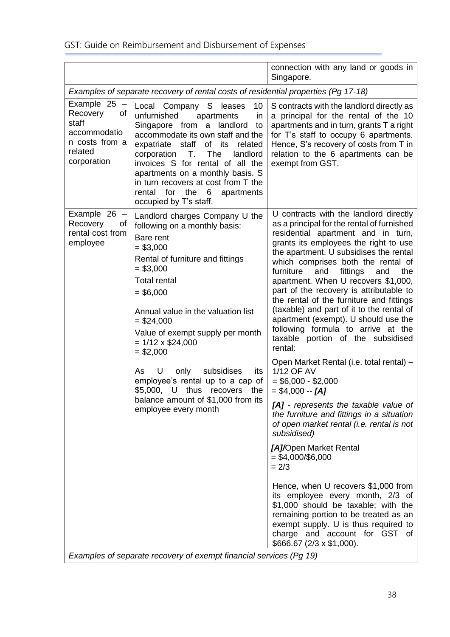|                                                                                                   |                                                                                                                                                                                                                                                                                                                                                                                                                                                                                                   | connection with any land or goods in<br>Singapore.                                                                                                                                                                                                                                                                                                                                                                                                                                                                                                                                                                                                                                                                                                                                                                                                                                                                                                                                                                                                                                                                                                                                                |
|---------------------------------------------------------------------------------------------------|---------------------------------------------------------------------------------------------------------------------------------------------------------------------------------------------------------------------------------------------------------------------------------------------------------------------------------------------------------------------------------------------------------------------------------------------------------------------------------------------------|---------------------------------------------------------------------------------------------------------------------------------------------------------------------------------------------------------------------------------------------------------------------------------------------------------------------------------------------------------------------------------------------------------------------------------------------------------------------------------------------------------------------------------------------------------------------------------------------------------------------------------------------------------------------------------------------------------------------------------------------------------------------------------------------------------------------------------------------------------------------------------------------------------------------------------------------------------------------------------------------------------------------------------------------------------------------------------------------------------------------------------------------------------------------------------------------------|
|                                                                                                   | Examples of separate recovery of rental costs of residential properties (Pg 17-18)                                                                                                                                                                                                                                                                                                                                                                                                                |                                                                                                                                                                                                                                                                                                                                                                                                                                                                                                                                                                                                                                                                                                                                                                                                                                                                                                                                                                                                                                                                                                                                                                                                   |
| Example 25<br>Recovery<br>οf<br>staff<br>accommodatio<br>n costs from a<br>related<br>corporation | Local Company S leases<br>10<br>unfurnished<br>apartments<br>in<br>Singapore from a landlord<br>to<br>accommodate its own staff and the<br>expatriate staff of its<br>related<br>T.<br>The<br>corporation<br>landlord<br>invoices S for rental of all the<br>apartments on a monthly basis. S<br>in turn recovers at cost from T the<br>rental<br>for<br>the 6<br>apartments<br>occupied by T's staff.                                                                                            | S contracts with the landlord directly as<br>a principal for the rental of the 10<br>apartments and in turn, grants T a right<br>for T's staff to occupy 6 apartments.<br>Hence, S's recovery of costs from T in<br>relation to the 6 apartments can be<br>exempt from GST.                                                                                                                                                                                                                                                                                                                                                                                                                                                                                                                                                                                                                                                                                                                                                                                                                                                                                                                       |
| Example 26 -<br>Recovery<br>οf<br>rental cost from<br>employee                                    | Landlord charges Company U the<br>following on a monthly basis:<br>Bare rent<br>$= $3,000$<br>Rental of furniture and fittings<br>$= $3,000$<br><b>Total rental</b><br>$= $6,000$<br>Annual value in the valuation list<br>$=$ \$24,000<br>Value of exempt supply per month<br>$= 1/12 \times $24,000$<br>$= $2,000$<br>U<br>subsidises<br>As<br>only<br>its<br>employee's rental up to a cap of<br>\$5,000, U thus recovers<br>the<br>balance amount of \$1,000 from its<br>employee every month | U contracts with the landlord directly<br>as a principal for the rental of furnished<br>residential apartment and in turn,<br>grants its employees the right to use<br>the apartment. U subsidises the rental<br>which comprises both the rental of<br>fittings<br>furniture<br>and<br>the<br>and<br>apartment. When U recovers \$1,000,<br>part of the recovery is attributable to<br>the rental of the furniture and fittings<br>(taxable) and part of it to the rental of<br>apartment (exempt). U should use the<br>following formula to arrive at the<br>taxable portion of the subsidised<br>rental:<br>Open Market Rental (i.e. total rental) -<br>1/12 OF AV<br>$= $6,000 - $2,000$<br>$= $4,000 - [A]$<br>[A] - represents the taxable value of<br>the furniture and fittings in a situation<br>of open market rental (i.e. rental is not<br>subsidised)<br>[A]/Open Market Rental<br>$= $4,000 \div $6,000$<br>$= 2/3$<br>Hence, when U recovers \$1,000 from<br>its employee every month, 2/3 of<br>\$1,000 should be taxable; with the<br>remaining portion to be treated as an<br>exempt supply. U is thus required to<br>charge and account for GST of<br>\$666.67 (2/3 x \$1,000). |
| Examples of separate recovery of exempt financial services (Pg 19)                                |                                                                                                                                                                                                                                                                                                                                                                                                                                                                                                   |                                                                                                                                                                                                                                                                                                                                                                                                                                                                                                                                                                                                                                                                                                                                                                                                                                                                                                                                                                                                                                                                                                                                                                                                   |

*Examples of separate recovery of exempt financial services (Pg 19)*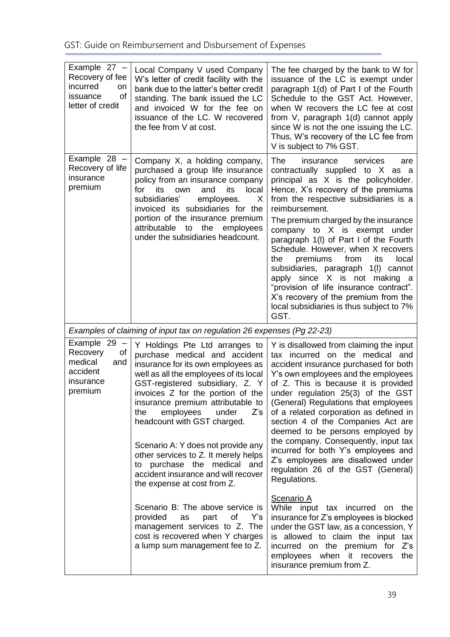| Example $27 -$<br>Recovery of fee<br>incurred<br>on<br>of<br>issuance<br>letter of credit | Local Company V used Company<br>W's letter of credit facility with the<br>bank due to the latter's better credit<br>standing. The bank issued the LC<br>and invoiced W for the fee on<br>issuance of the LC. W recovered<br>the fee from V at cost.                                                                                                                                                                                                                                                                | The fee charged by the bank to W for<br>issuance of the LC is exempt under<br>paragraph 1(d) of Part I of the Fourth<br>Schedule to the GST Act. However,<br>when W recovers the LC fee at cost<br>from V, paragraph 1(d) cannot apply<br>since W is not the one issuing the LC.<br>Thus, W's recovery of the LC fee from<br>V is subject to 7% GST.                                                                                                                                                                                                                                                                       |
|-------------------------------------------------------------------------------------------|--------------------------------------------------------------------------------------------------------------------------------------------------------------------------------------------------------------------------------------------------------------------------------------------------------------------------------------------------------------------------------------------------------------------------------------------------------------------------------------------------------------------|----------------------------------------------------------------------------------------------------------------------------------------------------------------------------------------------------------------------------------------------------------------------------------------------------------------------------------------------------------------------------------------------------------------------------------------------------------------------------------------------------------------------------------------------------------------------------------------------------------------------------|
| Example $28 -$<br>Recovery of life<br>insurance<br>premium                                | Company X, a holding company,<br>purchased a group life insurance<br>policy from an insurance company<br>its<br>and<br>its<br>local<br>for<br>own<br>subsidiaries'<br>employees.<br>X<br>invoiced its subsidiaries for the<br>portion of the insurance premium<br>attributable to the employees<br>under the subsidiaries headcount.                                                                                                                                                                               | The<br>insurance<br>services<br>are<br>contractually supplied to X as a<br>principal as X is the policyholder.<br>Hence, X's recovery of the premiums<br>from the respective subsidiaries is a<br>reimbursement.<br>The premium charged by the insurance<br>company to X is exempt under<br>paragraph 1(I) of Part I of the Fourth<br>Schedule. However, when X recovers<br>from<br>premiums<br>its<br>local<br>the<br>subsidiaries, paragraph 1(I) cannot<br>apply since X is not making a<br>"provision of life insurance contract".<br>X's recovery of the premium from the<br>local subsidiaries is thus subject to 7% |
|                                                                                           |                                                                                                                                                                                                                                                                                                                                                                                                                                                                                                                    | GST.                                                                                                                                                                                                                                                                                                                                                                                                                                                                                                                                                                                                                       |
|                                                                                           | Examples of claiming of input tax on regulation 26 expenses (Pg 22-23)                                                                                                                                                                                                                                                                                                                                                                                                                                             |                                                                                                                                                                                                                                                                                                                                                                                                                                                                                                                                                                                                                            |
| Example 29<br>Recovery<br>οf<br>medical<br>and<br>accident<br>insurance<br>premium        | Y Holdings Pte Ltd arranges to<br>purchase medical and accident<br>insurance for its own employees as<br>well as all the employees of its local<br>GST-registered subsidiary, Z. Y<br>invoices Z for the portion of the<br>insurance premium attributable to<br>employees<br>the<br>under<br>Z's<br>headcount with GST charged.<br>Scenario A: Y does not provide any<br>other services to Z. It merely helps<br>to purchase the medical and<br>accident insurance and will recover<br>the expense at cost from Z. | Y is disallowed from claiming the input<br>tax incurred on the medical and<br>accident insurance purchased for both<br>Y's own employees and the employees<br>of Z. This is because it is provided<br>under regulation 25(3) of the GST<br>(General) Regulations that employees<br>of a related corporation as defined in<br>section 4 of the Companies Act are<br>deemed to be persons employed by<br>the company. Consequently, input tax<br>incurred for both Y's employees and<br>Z's employees are disallowed under<br>regulation 26 of the GST (General)<br>Regulations.                                             |
|                                                                                           | Scenario B: The above service is<br>provided<br>of<br>part<br>Y's<br>as<br>management services to Z. The<br>cost is recovered when Y charges<br>a lump sum management fee to Z.                                                                                                                                                                                                                                                                                                                                    | Scenario A<br>While input tax incurred on<br>the<br>insurance for Z's employees is blocked<br>under the GST law, as a concession, Y<br>is allowed to claim the input tax<br>incurred on the premium for<br>$Z$ 's<br>employees when it recovers<br>the<br>insurance premium from Z.                                                                                                                                                                                                                                                                                                                                        |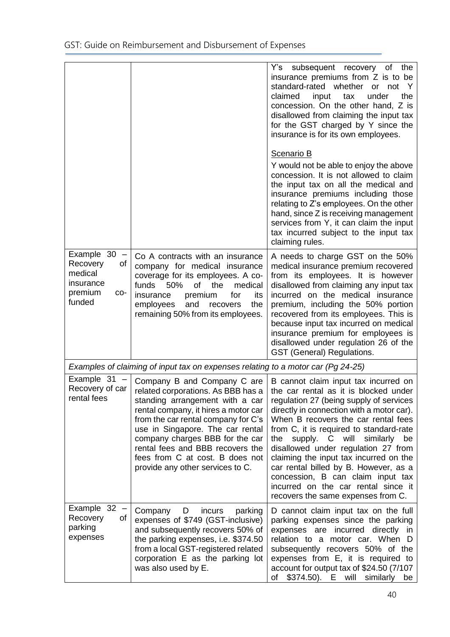|                                                                                      |                                                                                                                                                                                                                                                                                                                                                                       | Y's subsequent recovery of the<br>insurance premiums from Z is to be<br>standard-rated whether or not<br>-Y<br>claimed<br>input<br>under<br>the<br>tax<br>concession. On the other hand, Z is<br>disallowed from claiming the input tax<br>for the GST charged by Y since the<br>insurance is for its own employees.                                                                                                                                                                                                                                             |
|--------------------------------------------------------------------------------------|-----------------------------------------------------------------------------------------------------------------------------------------------------------------------------------------------------------------------------------------------------------------------------------------------------------------------------------------------------------------------|------------------------------------------------------------------------------------------------------------------------------------------------------------------------------------------------------------------------------------------------------------------------------------------------------------------------------------------------------------------------------------------------------------------------------------------------------------------------------------------------------------------------------------------------------------------|
|                                                                                      |                                                                                                                                                                                                                                                                                                                                                                       | <b>Scenario B</b><br>Y would not be able to enjoy the above<br>concession. It is not allowed to claim<br>the input tax on all the medical and<br>insurance premiums including those<br>relating to Z's employees. On the other<br>hand, since Z is receiving management<br>services from Y, it can claim the input<br>tax incurred subject to the input tax<br>claiming rules.                                                                                                                                                                                   |
| Example $30 -$<br>Recovery<br>of<br>medical<br>insurance<br>premium<br>CO-<br>funded | Co A contracts with an insurance<br>company for medical insurance<br>coverage for its employees. A co-<br>funds<br>50%<br>of<br>the<br>medical<br>premium<br>insurance<br>for<br>its<br>employees<br>and<br>recovers<br>the<br>remaining 50% from its employees.                                                                                                      | A needs to charge GST on the 50%<br>medical insurance premium recovered<br>from its employees. It is however<br>disallowed from claiming any input tax<br>incurred on the medical insurance<br>premium, including the 50% portion<br>recovered from its employees. This is<br>because input tax incurred on medical<br>insurance premium for employees is<br>disallowed under regulation 26 of the<br>GST (General) Regulations.                                                                                                                                 |
|                                                                                      | Examples of claiming of input tax on expenses relating to a motor car (Pg 24-25)                                                                                                                                                                                                                                                                                      |                                                                                                                                                                                                                                                                                                                                                                                                                                                                                                                                                                  |
| Example 31<br>Recovery of car<br>rental fees                                         | Company B and Company C are<br>related corporations. As BBB has a<br>standing arrangement with a car<br>rental company, it hires a motor car<br>from the car rental company for C's<br>use in Singapore. The car rental<br>company charges BBB for the car<br>rental fees and BBB recovers the<br>fees from C at cost. B does not<br>provide any other services to C. | B cannot claim input tax incurred on<br>the car rental as it is blocked under<br>regulation 27 (being supply of services<br>directly in connection with a motor car).<br>When B recovers the car rental fees<br>from C, it is required to standard-rate<br>will<br>similarly<br>the<br>supply.<br>$\mathsf{C}$<br>be<br>disallowed under regulation 27 from<br>claiming the input tax incurred on the<br>car rental billed by B. However, as a<br>concession, B can claim input tax<br>incurred on the car rental since it<br>recovers the same expenses from C. |
| Example $32 -$<br>Recovery<br>οf<br>parking<br>expenses                              | Company<br>D<br>incurs<br>parking<br>expenses of \$749 (GST-inclusive)<br>and subsequently recovers 50% of<br>the parking expenses, i.e. \$374.50<br>from a local GST-registered related<br>corporation E as the parking lot<br>was also used by E.                                                                                                                   | D cannot claim input tax on the full<br>parking expenses since the parking<br>expenses are incurred directly in<br>relation to a motor car. When D<br>subsequently recovers 50% of the<br>expenses from E, it is required to<br>account for output tax of \$24.50 (7/107<br>of \$374.50). E will similarly<br>be <sub>1</sub>                                                                                                                                                                                                                                    |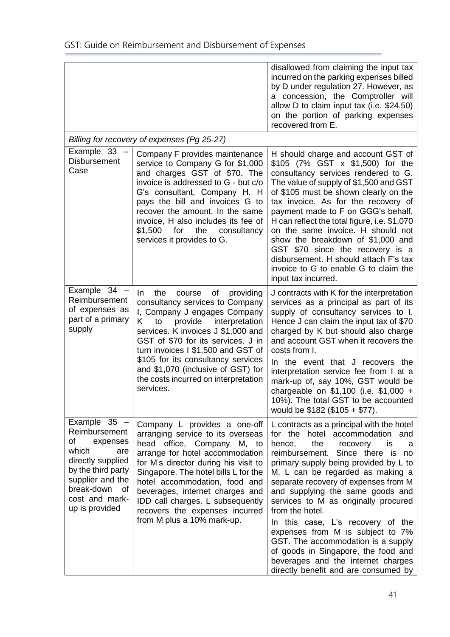|                                                                                                                                                                                          |                                                                                                                                                                                                                                                                                                                                                                                                       | disallowed from claiming the input tax<br>incurred on the parking expenses billed<br>by D under regulation 27. However, as<br>a concession, the Comptroller will<br>allow D to claim input tax (i.e. \$24.50)<br>on the portion of parking expenses<br>recovered from E.                                                                                                                                                                                                                                                                                                                                         |
|------------------------------------------------------------------------------------------------------------------------------------------------------------------------------------------|-------------------------------------------------------------------------------------------------------------------------------------------------------------------------------------------------------------------------------------------------------------------------------------------------------------------------------------------------------------------------------------------------------|------------------------------------------------------------------------------------------------------------------------------------------------------------------------------------------------------------------------------------------------------------------------------------------------------------------------------------------------------------------------------------------------------------------------------------------------------------------------------------------------------------------------------------------------------------------------------------------------------------------|
|                                                                                                                                                                                          | Billing for recovery of expenses (Pg 25-27)                                                                                                                                                                                                                                                                                                                                                           |                                                                                                                                                                                                                                                                                                                                                                                                                                                                                                                                                                                                                  |
| Example 33<br><b>Disbursement</b><br>Case                                                                                                                                                | Company F provides maintenance<br>service to Company G for \$1,000<br>and charges GST of \$70. The<br>invoice is addressed to G - but c/o<br>G's consultant, Company H. H.<br>pays the bill and invoices G to<br>recover the amount. In the same<br>invoice, H also includes its fee of<br>\$1,500<br>for<br>the<br>consultancy<br>services it provides to G.                                         | H should charge and account GST of<br>\$105 (7% GST x \$1,500) for the<br>consultancy services rendered to G.<br>The value of supply of \$1,500 and GST<br>of \$105 must be shown clearly on the<br>tax invoice. As for the recovery of<br>payment made to F on GGG's behalf,<br>H can reflect the total figure, i.e. \$1,070<br>on the same invoice. H should not<br>show the breakdown of \$1,000 and<br>GST \$70 since the recovery is a<br>disbursement. H should attach F's tax<br>invoice to G to enable G to claim the<br>input tax incurred.                                                             |
| Example $34 -$<br>Reimbursement<br>of expenses as<br>part of a primary<br>supply                                                                                                         | the<br>providing<br>of<br>In.<br>course<br>consultancy services to Company<br>I, Company J engages Company<br>K<br>provide<br>interpretation<br>to<br>services. K invoices J \$1,000 and<br>GST of \$70 for its services. J in<br>turn invoices I \$1,500 and GST of<br>\$105 for its consultancy services<br>and \$1,070 (inclusive of GST) for<br>the costs incurred on interpretation<br>services. | J contracts with K for the interpretation<br>services as a principal as part of its<br>supply of consultancy services to I.<br>Hence J can claim the input tax of \$70<br>charged by K but should also charge<br>and account GST when it recovers the<br>costs from I.<br>In the event that J recovers the<br>interpretation service fee from I at a<br>mark-up of, say 10%, GST would be<br>chargeable on $$1,100$ (i.e. $$1,000 +$<br>10%). The total GST to be accounted<br>would be $$182$ (\$105 + \$77).                                                                                                   |
| Example $35 -$<br>Reimbursement<br>of<br>expenses<br>which<br>are<br>directly supplied<br>by the third party<br>supplier and the<br>break-down<br>of<br>cost and mark-<br>up is provided | Company L provides a one-off<br>arranging service to its overseas<br>head office, Company M, to<br>arrange for hotel accommodation<br>for M's director during his visit to<br>Singapore. The hotel bills L for the<br>hotel accommodation, food and<br>beverages, internet charges and<br>IDD call charges. L subsequently<br>recovers the expenses incurred<br>from M plus a 10% mark-up.            | L contracts as a principal with the hotel<br>for the hotel accommodation and<br>hence,<br>the<br>recovery<br>is<br>a<br>reimbursement. Since there is no<br>primary supply being provided by L to<br>M, L can be regarded as making a<br>separate recovery of expenses from M<br>and supplying the same goods and<br>services to M as originally procured<br>from the hotel.<br>In this case, L's recovery of the<br>expenses from M is subject to 7%<br>GST. The accommodation is a supply<br>of goods in Singapore, the food and<br>beverages and the internet charges<br>directly benefit and are consumed by |